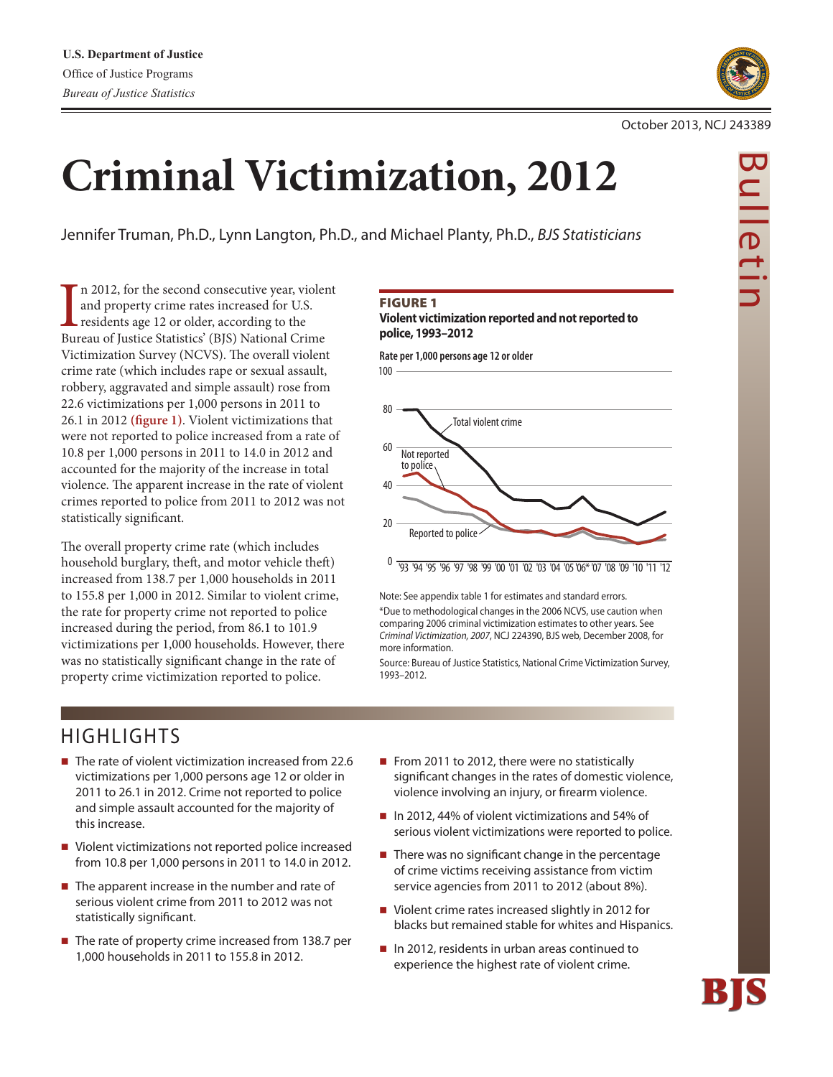

# **Criminal Victimization, 2012**

Jennifer Truman, Ph.D., Lynn Langton, Ph.D., and Michael Planty, Ph.D., *BJS Statisticians*

In 2012, for the second consecutive year, violent and property crime rates increased for U.S.<br>residents age 12 or older, according to the Bureau of Justice Statistics' (BJS) National Crime n 2012, for the second consecutive year, violent and property crime rates increased for U.S. residents age 12 or older, according to the Victimization Survey (NCVS). The overall violent crime rate (which includes rape or sexual assault, robbery, aggravated and simple assault) rose from 22.6 victimizations per 1,000 persons in 2011 to 26.1 in 2012 **(figure 1)**. Violent victimizations that were not reported to police increased from a rate of 10.8 per 1,000 persons in 2011 to 14.0 in 2012 and accounted for the majority of the increase in total violence. The apparent increase in the rate of violent crimes reported to police from 2011 to 2012 was not statistically significant.

The overall property crime rate (which includes household burglary, theft, and motor vehicle theft) increased from 138.7 per 1,000 households in 2011 to 155.8 per 1,000 in 2012. Similar to violent crime, the rate for property crime not reported to police increased during the period, from 86.1 to 101.9 victimizations per 1,000 households. However, there was no statistically significant change in the rate of property crime victimization reported to police.

#### Figure 1

**Violent victimization reported and not reported to police, 1993–2012**



Note: See appendix table 1 for estimates and standard errors. \*Due to methodological changes in the 2006 NCVS, use caution when comparing 2006 criminal victimization estimates to other years. See *Criminal Victimization, 2007*, NCJ 224390, BJS web, December 2008, for more information.

Source: Bureau of Justice Statistics, National Crime Victimization Survey, 1993–2012.

# HIGHLIGHTS

- The rate of violent victimization increased from 22.6 victimizations per 1,000 persons age 12 or older in 2011 to 26.1 in 2012. Crime not reported to police and simple assault accounted for the majority of this increase.
- Violent victimizations not reported police increased from 10.8 per 1,000 persons in 2011 to 14.0 in 2012.
- $\blacksquare$  The apparent increase in the number and rate of serious violent crime from 2011 to 2012 was not statistically significant.
- The rate of property crime increased from 138.7 per 1,000 households in 2011 to 155.8 in 2012.
- From 2011 to 2012, there were no statistically significant changes in the rates of domestic violence, violence involving an injury, or firearm violence.
- In 2012, 44% of violent victimizations and 54% of serious violent victimizations were reported to police.
- $\blacksquare$  There was no significant change in the percentage of crime victims receiving assistance from victim service agencies from 2011 to 2012 (about 8%).
- Violent crime rates increased slightly in 2012 for blacks but remained stable for whites and Hispanics.
- In 2012, residents in urban areas continued to experience the highest rate of violent crime.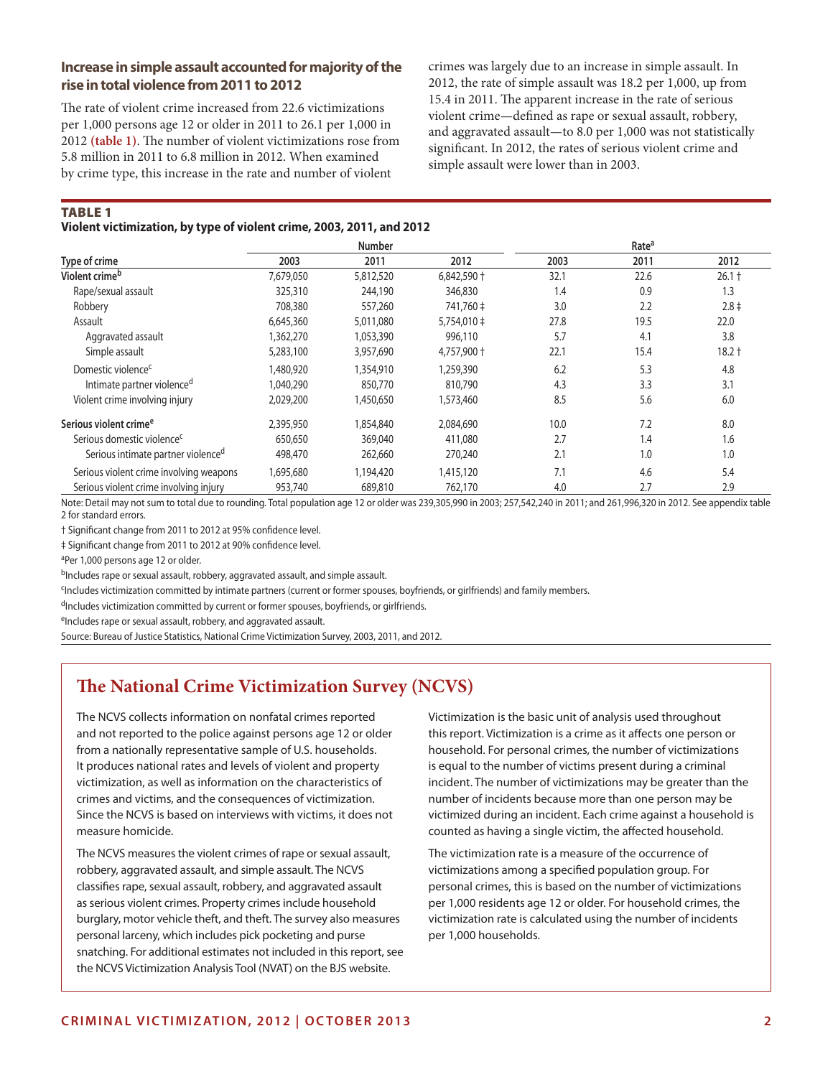# **Increase in simple assault accounted for majority of the rise in total violence from 2011 to 2012**

The rate of violent crime increased from 22.6 victimizations per 1,000 persons age 12 or older in 2011 to 26.1 per 1,000 in 2012 **(table 1)**. The number of violent victimizations rose from 5.8 million in 2011 to 6.8 million in 2012. When examined by crime type, this increase in the rate and number of violent

crimes was largely due to an increase in simple assault. In 2012, the rate of simple assault was 18.2 per 1,000, up from 15.4 in 2011. The apparent increase in the rate of serious violent crime—defined as rape or sexual assault, robbery, and aggravated assault—to 8.0 per 1,000 was not statistically significant. In 2012, the rates of serious violent crime and simple assault were lower than in 2003.

Table 1

**Violent victimization, by type of violent crime, 2003, 2011, and 2012**

|                                                |           | <b>Number</b> |             |      | Rate <sup>a</sup> |           |
|------------------------------------------------|-----------|---------------|-------------|------|-------------------|-----------|
| Type of crime                                  | 2003      | 2011          | 2012        | 2003 | 2011              | 2012      |
| Violent crime <sup>b</sup>                     | 7,679,050 | 5,812,520     | 6,842,590 + | 32.1 | 22.6              | $26.1 +$  |
| Rape/sexual assault                            | 325,310   | 244,190       | 346,830     | 1.4  | 0.9               | 1.3       |
| Robbery                                        | 708,380   | 557,260       | 741.760 ‡   | 3.0  | 2.2               | $2.8 \pm$ |
| Assault                                        | 6,645,360 | 5,011,080     | 5,754,010 ‡ | 27.8 | 19.5              | 22.0      |
| Aggravated assault                             | 1,362,270 | 1,053,390     | 996,110     | 5.7  | 4.1               | 3.8       |
| Simple assault                                 | 5,283,100 | 3,957,690     | 4,757,900 + | 22.1 | 15.4              | $18.2 +$  |
| Domestic violence <sup>c</sup>                 | .480,920  | 1,354,910     | 1,259,390   | 6.2  | 5.3               | 4.8       |
| Intimate partner violence <sup>d</sup>         | 1,040,290 | 850,770       | 810,790     | 4.3  | 3.3               | 3.1       |
| Violent crime involving injury                 | 2,029,200 | 1,450,650     | 1,573,460   | 8.5  | 5.6               | 6.0       |
| Serious violent crime <sup>e</sup>             | 2,395,950 | 1,854,840     | 2,084,690   | 10.0 | 7.2               | 8.0       |
| Serious domestic violence <sup>c</sup>         | 650,650   | 369,040       | 411,080     | 2.7  | 1.4               | 1.6       |
| Serious intimate partner violence <sup>d</sup> | 498,470   | 262,660       | 270,240     | 2.1  | 1.0               | 1.0       |
| Serious violent crime involving weapons        | 695,680   | 1,194,420     | 1,415,120   | 7.1  | 4.6               | 5.4       |
| Serious violent crime involving injury         | 953,740   | 689,810       | 762,170     | 4.0  | 2.7               | 2.9       |

Note: Detail may not sum to total due to rounding. Total population age 12 or older was 239,305,990 in 2003; 257,542,240 in 2011; and 261,996,320 in 2012. See appendix table 2 for standard errors.

† Significant change from 2011 to 2012 at 95% confidence level.

‡ Significant change from 2011 to 2012 at 90% confidence level.

aPer 1,000 persons age 12 or older.

bIncludes rape or sexual assault, robbery, aggravated assault, and simple assault.

cIncludes victimization committed by intimate partners (current or former spouses, boyfriends, or girlfriends) and family members.

dIncludes victimization committed by current or former spouses, boyfriends, or girlfriends.

eIncludes rape or sexual assault, robbery, and aggravated assault.

Source: Bureau of Justice Statistics, National Crime Victimization Survey, 2003, 2011, and 2012.

# **The National Crime Victimization Survey (NCVS)**

The NCVS collects information on nonfatal crimes reported and not reported to the police against persons age 12 or older from a nationally representative sample of U.S. households. It produces national rates and levels of violent and property victimization, as well as information on the characteristics of crimes and victims, and the consequences of victimization. Since the NCVS is based on interviews with victims, it does not measure homicide.

The NCVS measures the violent crimes of rape or sexual assault, robbery, aggravated assault, and simple assault. The NCVS classifies rape, sexual assault, robbery, and aggravated assault as serious violent crimes. Property crimes include household burglary, motor vehicle theft, and theft. The survey also measures personal larceny, which includes pick pocketing and purse snatching. For additional estimates not included in this report, see the NCVS Victimization Analysis Tool (NVAT) on the BJS website.

Victimization is the basic unit of analysis used throughout this report. Victimization is a crime as it affects one person or household. For personal crimes, the number of victimizations is equal to the number of victims present during a criminal incident. The number of victimizations may be greater than the number of incidents because more than one person may be victimized during an incident. Each crime against a household is counted as having a single victim, the affected household.

The victimization rate is a measure of the occurrence of victimizations among a specified population group. For personal crimes, this is based on the number of victimizations per 1,000 residents age 12 or older. For household crimes, the victimization rate is calculated using the number of incidents per 1,000 households.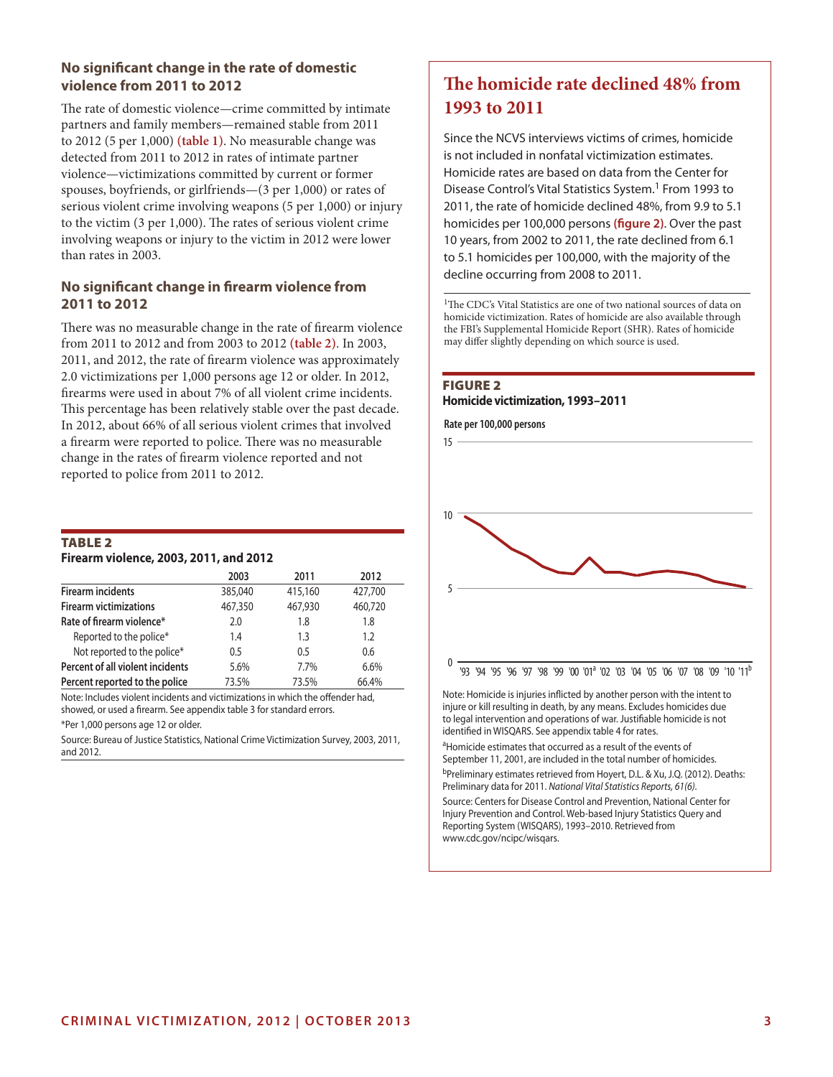# **No significant change in the rate of domestic violence from 2011 to 2012**

The rate of domestic violence—crime committed by intimate partners and family members—remained stable from 2011 to 2012 (5 per 1,000) **(table 1)**. No measurable change was detected from 2011 to 2012 in rates of intimate partner violence—victimizations committed by current or former spouses, boyfriends, or girlfriends—(3 per 1,000) or rates of serious violent crime involving weapons (5 per 1,000) or injury to the victim (3 per 1,000). The rates of serious violent crime involving weapons or injury to the victim in 2012 were lower than rates in 2003.

## **No significant change in firearm violence from 2011 to 2012**

There was no measurable change in the rate of firearm violence from 2011 to 2012 and from 2003 to 2012 **(table 2)**. In 2003, 2011, and 2012, the rate of firearm violence was approximately 2.0 victimizations per 1,000 persons age 12 or older. In 2012, firearms were used in about 7% of all violent crime incidents. This percentage has been relatively stable over the past decade. In 2012, about 66% of all serious violent crimes that involved a firearm were reported to police. There was no measurable change in the rates of firearm violence reported and not reported to police from 2011 to 2012.

#### **TABLE 2 Firearm violence, 2003, 2011, and 2012**

|                                  | 2003    | 2011    | 2012    |
|----------------------------------|---------|---------|---------|
| <b>Firearm incidents</b>         | 385,040 | 415,160 | 427.700 |
| <b>Firearm victimizations</b>    | 467,350 | 467,930 | 460,720 |
| Rate of firearm violence*        | 2.0     | 1.8     | 1.8     |
| Reported to the police*          | 1.4     | 1.3     | 1.2     |
| Not reported to the police*      | 0.5     | 0.5     | 0.6     |
| Percent of all violent incidents | 5.6%    | 7.7%    | 6.6%    |
| Percent reported to the police   | 73.5%   | 73.5%   | 66.4%   |

Note: Includes violent incidents and victimizations in which the offender had, showed, or used a firearm. See appendix table 3 for standard errors.

\*Per 1,000 persons age 12 or older.

Source: Bureau of Justice Statistics, National Crime Victimization Survey, 2003, 2011, and 2012.

# **The homicide rate declined 48% from 1993 to 2011**

Since the NCVS interviews victims of crimes, homicide is not included in nonfatal victimization estimates. Homicide rates are based on data from the Center for Disease Control's Vital Statistics System.1 From 1993 to 2011, the rate of homicide declined 48%, from 9.9 to 5.1 homicides per 100,000 persons **(figure 2)**. Over the past 10 years, from 2002 to 2011, the rate declined from 6.1 to 5.1 homicides per 100,000, with the majority of the decline occurring from 2008 to 2011.

<sup>1</sup>The CDC's Vital Statistics are one of two national sources of data on homicide victimization. Rates of homicide are also available through the FBI's Supplemental Homicide Report (SHR). Rates of homicide may differ slightly depending on which source is used.

#### **FIGURE 2 Homicide victimization, 1993–2011**

**Rate per 100,000 persons**



injure or kill resulting in death, by any means. Excludes homicides due to legal intervention and operations of war. Justifiable homicide is not identified in WISQARS. See appendix table 4 for rates.

<sup>a</sup>Homicide estimates that occurred as a result of the events of September 11, 2001, are included in the total number of homicides.

bPreliminary estimates retrieved from Hoyert, D.L. & Xu, J.Q. (2012). Deaths: Preliminary data for 2011. *National Vital Statistics Reports, 61(6)*.

Source: Centers for Disease Control and Prevention, National Center for Injury Prevention and Control. Web-based Injury Statistics Query and Reporting System (WISQARS), 1993–2010. Retrieved from www.cdc.gov/ncipc/wisqars.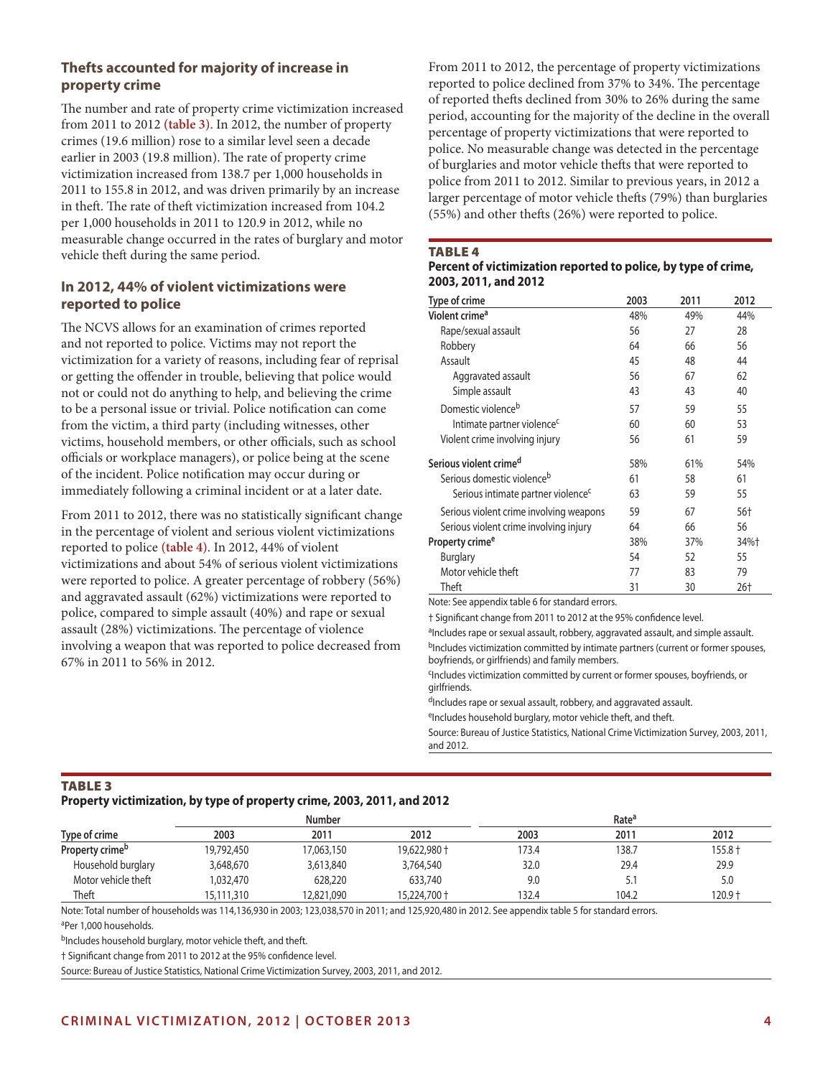# **Thefts accounted for majority of increase in property crime**

The number and rate of property crime victimization increased from 2011 to 2012 **(table 3)**. In 2012, the number of property crimes (19.6 million) rose to a similar level seen a decade earlier in 2003 (19.8 million). The rate of property crime victimization increased from 138.7 per 1,000 households in 2011 to 155.8 in 2012, and was driven primarily by an increase in theft. The rate of theft victimization increased from 104.2 per 1,000 households in 2011 to 120.9 in 2012, while no measurable change occurred in the rates of burglary and motor vehicle theft during the same period.

# **In 2012, 44% of violent victimizations were reported to police**

The NCVS allows for an examination of crimes reported and not reported to police. Victims may not report the victimization for a variety of reasons, including fear of reprisal or getting the offender in trouble, believing that police would not or could not do anything to help, and believing the crime to be a personal issue or trivial. Police notification can come from the victim, a third party (including witnesses, other victims, household members, or other officials, such as school officials or workplace managers), or police being at the scene of the incident. Police notification may occur during or immediately following a criminal incident or at a later date.

From 2011 to 2012, there was no statistically significant change in the percentage of violent and serious violent victimizations reported to police **(table 4)**. In 2012, 44% of violent victimizations and about 54% of serious violent victimizations were reported to police. A greater percentage of robbery (56%) and aggravated assault (62%) victimizations were reported to police, compared to simple assault (40%) and rape or sexual assault (28%) victimizations. The percentage of violence involving a weapon that was reported to police decreased from 67% in 2011 to 56% in 2012.

From 2011 to 2012, the percentage of property victimizations reported to police declined from 37% to 34%. The percentage of reported thefts declined from 30% to 26% during the same period, accounting for the majority of the decline in the overall percentage of property victimizations that were reported to police. No measurable change was detected in the percentage of burglaries and motor vehicle thefts that were reported to police from 2011 to 2012. Similar to previous years, in 2012 a larger percentage of motor vehicle thefts (79%) than burglaries (55%) and other thefts (26%) were reported to police.

#### **TABLE 4**

#### **Percent of victimization reported to police, by type of crime, 2003, 2011, and 2012**

| Type of crime                                  | 2003 | 2011 | 2012 |
|------------------------------------------------|------|------|------|
| Violent crime <sup>a</sup>                     | 48%  | 49%  | 44%  |
| Rape/sexual assault                            | 56   | 27   | 28   |
| Robbery                                        | 64   | 66   | 56   |
| Assault                                        | 45   | 48   | 44   |
| Aggravated assault                             | 56   | 67   | 62   |
| Simple assault                                 | 43   | 43   | 40   |
| Domestic violence <sup>b</sup>                 | 57   | 59   | 55   |
| Intimate partner violence <sup>c</sup>         | 60   | 60   | 53   |
| Violent crime involving injury                 | 56   | 61   | 59   |
| Serious violent crime <sup>d</sup>             | 58%  | 61%  | 54%  |
| Serious domestic violence <sup>b</sup>         | 61   | 58   | 61   |
| Serious intimate partner violence <sup>c</sup> | 63   | 59   | 55   |
| Serious violent crime involving weapons        | 59   | 67   | 56+  |
| Serious violent crime involving injury         | 64   | 66   | 56   |
| Property crime <sup>e</sup>                    | 38%  | 37%  | 34%+ |
| <b>Burglary</b>                                | 54   | 52   | 55   |
| Motor vehicle theft                            | 77   | 83   | 79   |
| Theft                                          | 31   | 30   | 26†  |

Note: See appendix table 6 for standard errors.

† Significant change from 2011 to 2012 at the 95% confidence level.

aIncludes rape or sexual assault, robbery, aggravated assault, and simple assault. bIncludes victimization committed by intimate partners (current or former spouses, boyfriends, or girlfriends) and family members.

cIncludes victimization committed by current or former spouses, boyfriends, or girlfriends.

dIncludes rape or sexual assault, robbery, and aggravated assault.

eIncludes household burglary, motor vehicle theft, and theft.

Source: Bureau of Justice Statistics, National Crime Victimization Survey, 2003, 2011, and 2012.

# Table 3

**Property victimization, by type of property crime, 2003, 2011, and 2012**

|                             |            | <b>Number</b> |              | Rate <sup>a</sup> |       |           |  |
|-----------------------------|------------|---------------|--------------|-------------------|-------|-----------|--|
| Type of crime               | 2003       | 2011          | 2012         | 2003              | 2011  | 2012      |  |
| Property crime <sup>b</sup> | 19,792,450 | 17,063,150    | 19,622,980 + | 173.4             | 138.7 | $155.8 +$ |  |
| Household burglary          | 3,648,670  | 3,613,840     | 3,764,540    | 32.0              | 29.4  | 29.9      |  |
| Motor vehicle theft         | 1,032,470  | 628,220       | 633,740      | 9.0               | 5.1   | 5.0       |  |
| Theft                       | 15,111,310 | 12,821,090    | 15,224,700 + | 132.4             | 104.2 | $120.9 +$ |  |
|                             |            |               |              |                   |       |           |  |

Note: Total number of households was 114,136,930 in 2003; 123,038,570 in 2011; and 125,920,480 in 2012. See appendix table 5 for standard errors.

aPer 1,000 households.

bIncludes household burglary, motor vehicle theft, and theft.

† Significant change from 2011 to 2012 at the 95% confidence level.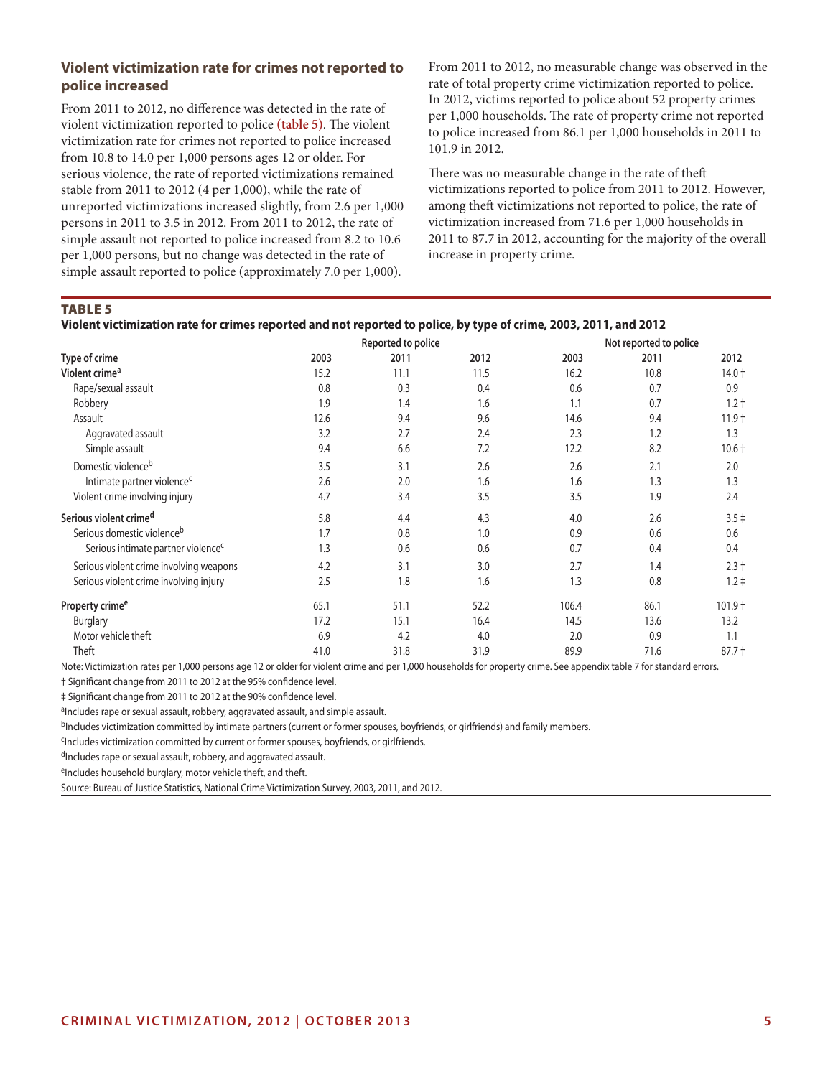# **Violent victimization rate for crimes not reported to police increased**

From 2011 to 2012, no difference was detected in the rate of violent victimization reported to police **(table 5)**. The violent victimization rate for crimes not reported to police increased from 10.8 to 14.0 per 1,000 persons ages 12 or older. For serious violence, the rate of reported victimizations remained stable from 2011 to 2012 (4 per 1,000), while the rate of unreported victimizations increased slightly, from 2.6 per 1,000 persons in 2011 to 3.5 in 2012. From 2011 to 2012, the rate of simple assault not reported to police increased from 8.2 to 10.6 per 1,000 persons, but no change was detected in the rate of simple assault reported to police (approximately 7.0 per 1,000).

From 2011 to 2012, no measurable change was observed in the rate of total property crime victimization reported to police. In 2012, victims reported to police about 52 property crimes per 1,000 households. The rate of property crime not reported to police increased from 86.1 per 1,000 households in 2011 to 101.9 in 2012.

There was no measurable change in the rate of theft victimizations reported to police from 2011 to 2012. However, among theft victimizations not reported to police, the rate of victimization increased from 71.6 per 1,000 households in 2011 to 87.7 in 2012, accounting for the majority of the overall increase in property crime.

Table 5

| Violent victimization rate for crimes reported and not reported to police, by type of crime, 2003, 2011, and 2012 |  |
|-------------------------------------------------------------------------------------------------------------------|--|
|-------------------------------------------------------------------------------------------------------------------|--|

|                                                |      | Reported to police |      | Not reported to police |      |           |  |
|------------------------------------------------|------|--------------------|------|------------------------|------|-----------|--|
| Type of crime                                  | 2003 | 2011               | 2012 | 2003                   | 2011 | 2012      |  |
| Violent crime <sup>a</sup>                     | 15.2 | 11.1               | 11.5 | 16.2                   | 10.8 | $14.0 +$  |  |
| Rape/sexual assault                            | 0.8  | 0.3                | 0.4  | 0.6                    | 0.7  | 0.9       |  |
| Robbery                                        | 1.9  | 1.4                | 1.6  | 1.1                    | 0.7  | $1.2 +$   |  |
| Assault                                        | 12.6 | 9.4                | 9.6  | 14.6                   | 9.4  | $11.9 +$  |  |
| Aggravated assault                             | 3.2  | 2.7                | 2.4  | 2.3                    | 1.2  | 1.3       |  |
| Simple assault                                 | 9.4  | 6.6                | 7.2  | 12.2                   | 8.2  | $10.6 +$  |  |
| Domestic violence <sup>b</sup>                 | 3.5  | 3.1                | 2.6  | 2.6                    | 2.1  | 2.0       |  |
| Intimate partner violence <sup>c</sup>         | 2.6  | 2.0                | 1.6  | 1.6                    | 1.3  | 1.3       |  |
| Violent crime involving injury                 | 4.7  | 3.4                | 3.5  | 3.5                    | 1.9  | 2.4       |  |
| Serious violent crime <sup>d</sup>             | 5.8  | 4.4                | 4.3  | 4.0                    | 2.6  | $3.5 \pm$ |  |
| Serious domestic violence <sup>b</sup>         | 1.7  | 0.8                | 1.0  | 0.9                    | 0.6  | 0.6       |  |
| Serious intimate partner violence <sup>c</sup> | 1.3  | 0.6                | 0.6  | 0.7                    | 0.4  | 0.4       |  |
| Serious violent crime involving weapons        | 4.2  | 3.1                | 3.0  | 2.7                    | 1.4  | $2.3 +$   |  |
| Serious violent crime involving injury         | 2.5  | 1.8                | 1.6  | 1.3                    | 0.8  | $1.2 \pm$ |  |
| Property crime <sup>e</sup>                    | 65.1 | 51.1               | 52.2 | 106.4                  | 86.1 | $101.9 +$ |  |
| <b>Burglary</b>                                | 17.2 | 15.1               | 16.4 | 14.5                   | 13.6 | 13.2      |  |
| Motor vehicle theft                            | 6.9  | 4.2                | 4.0  | 2.0                    | 0.9  | 1.1       |  |
| Theft                                          | 41.0 | 31.8               | 31.9 | 89.9                   | 71.6 | $87.7 +$  |  |

Note: Victimization rates per 1,000 persons age 12 or older for violent crime and per 1,000 households for property crime. See appendix table 7 for standard errors.

† Significant change from 2011 to 2012 at the 95% confidence level.

‡ Significant change from 2011 to 2012 at the 90% confidence level.

aIncludes rape or sexual assault, robbery, aggravated assault, and simple assault.

b<sub>Includes</sub> victimization committed by intimate partners (current or former spouses, boyfriends, or girlfriends) and family members.

<sup>c</sup>Includes victimization committed by current or former spouses, boyfriends, or girlfriends.

dIncludes rape or sexual assault, robbery, and aggravated assault.

eIncludes household burglary, motor vehicle theft, and theft.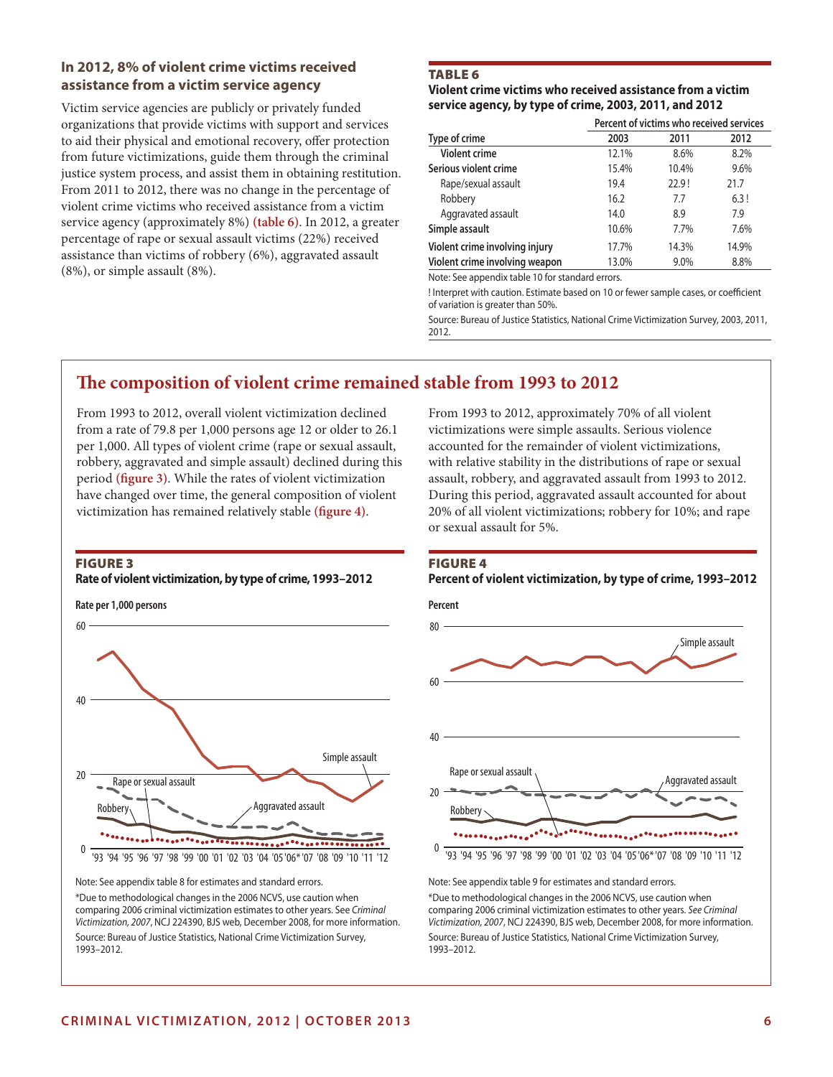## **In 2012, 8% of violent crime victims received assistance from a victim service agency**

Victim service agencies are publicly or privately funded organizations that provide victims with support and services to aid their physical and emotional recovery, offer protection from future victimizations, guide them through the criminal justice system process, and assist them in obtaining restitution. From 2011 to 2012, there was no change in the percentage of violent crime victims who received assistance from a victim service agency (approximately 8%) **(table 6)**. In 2012, a greater percentage of rape or sexual assault victims (22%) received assistance than victims of robbery (6%), aggravated assault (8%), or simple assault (8%).

# Table 6

#### **Violent crime victims who received assistance from a victim service agency, by type of crime, 2003, 2011, and 2012**

|                                |       | Percent of victims who received services |       |
|--------------------------------|-------|------------------------------------------|-------|
| Type of crime                  | 2003  | 2011                                     | 2012  |
| <b>Violent crime</b>           | 12.1% | 8.6%                                     | 8.2%  |
| Serious violent crime          | 15.4% | 10.4%                                    | 9.6%  |
| Rape/sexual assault            | 19.4  | 22.9!                                    | 21.7  |
| Robbery                        | 16.2  | 7.7                                      | 6.3!  |
| Aggravated assault             | 14.0  | 8.9                                      | 7.9   |
| Simple assault                 | 10.6% | 7.7%                                     | 7.6%  |
| Violent crime involving injury | 17.7% | 14.3%                                    | 14.9% |
| Violent crime involving weapon | 13.0% | 9.0%                                     | 8.8%  |

Note: See appendix table 10 for standard errors.

! Interpret with caution. Estimate based on 10 or fewer sample cases, or coefficient of variation is greater than 50%.

Source: Bureau of Justice Statistics, National Crime Victimization Survey, 2003, 2011, 2012.

# **The composition of violent crime remained stable from 1993 to 2012**

From 1993 to 2012, overall violent victimization declined from a rate of 79.8 per 1,000 persons age 12 or older to 26.1 per 1,000. All types of violent crime (rape or sexual assault, robbery, aggravated and simple assault) declined during this period **(figure 3)**. While the rates of violent victimization have changed over time, the general composition of violent victimization has remained relatively stable **(figure 4)**.

#### Figure 3

#### **Rate of violent victimization, by type of crime, 1993–2012**

**Rate per 1,000 persons**



Note: See appendix table 8 for estimates and standard errors.

\*Due to methodological changes in the 2006 NCVS, use caution when comparing 2006 criminal victimization estimates to other years. See *Criminal Victimization, 2007*, NCJ 224390, BJS web, December 2008, for more information. Source: Bureau of Justice Statistics, National Crime Victimization Survey, 1993–2012.

From 1993 to 2012, approximately 70% of all violent victimizations were simple assaults. Serious violence accounted for the remainder of violent victimizations, with relative stability in the distributions of rape or sexual assault, robbery, and aggravated assault from 1993 to 2012. During this period, aggravated assault accounted for about 20% of all violent victimizations; robbery for 10%; and rape or sexual assault for 5%.

# Figure 4

#### **Percent of violent victimization, by type of crime, 1993–2012**



Note: See appendix table 9 for estimates and standard errors. \*Due to methodological changes in the 2006 NCVS, use caution when comparing 2006 criminal victimization estimates to other years. *See Criminal Victimization, 2007*, NCJ 224390, BJS web, December 2008, for more information. Source: Bureau of Justice Statistics, National Crime Victimization Survey, 1993–2012.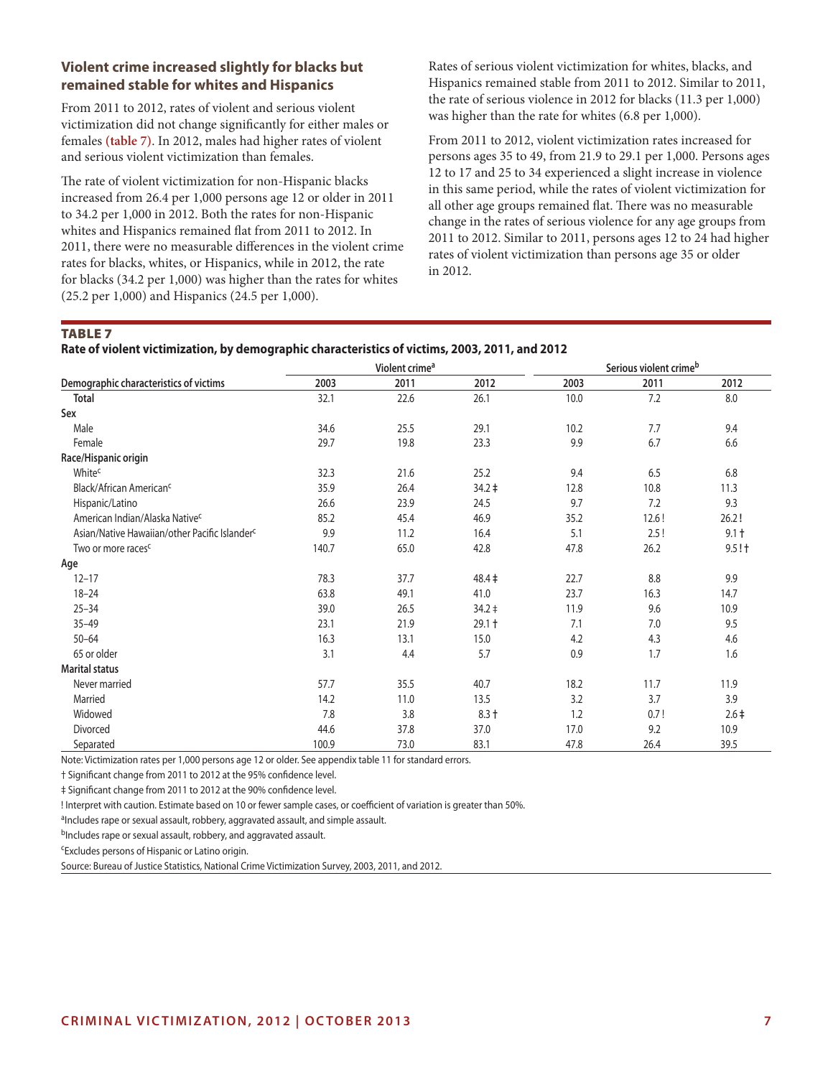# **Violent crime increased slightly for blacks but remained stable for whites and Hispanics**

From 2011 to 2012, rates of violent and serious violent victimization did not change significantly for either males or females **(table 7)**. In 2012, males had higher rates of violent and serious violent victimization than females.

The rate of violent victimization for non-Hispanic blacks increased from 26.4 per 1,000 persons age 12 or older in 2011 to 34.2 per 1,000 in 2012. Both the rates for non-Hispanic whites and Hispanics remained flat from 2011 to 2012. In 2011, there were no measurable differences in the violent crime rates for blacks, whites, or Hispanics, while in 2012, the rate for blacks (34.2 per 1,000) was higher than the rates for whites (25.2 per 1,000) and Hispanics (24.5 per 1,000).

Rates of serious violent victimization for whites, blacks, and Hispanics remained stable from 2011 to 2012. Similar to 2011, the rate of serious violence in 2012 for blacks (11.3 per 1,000) was higher than the rate for whites (6.8 per 1,000).

From 2011 to 2012, violent victimization rates increased for persons ages 35 to 49, from 21.9 to 29.1 per 1,000. Persons ages 12 to 17 and 25 to 34 experienced a slight increase in violence in this same period, while the rates of violent victimization for all other age groups remained flat. There was no measurable change in the rates of serious violence for any age groups from 2011 to 2012. Similar to 2011, persons ages 12 to 24 had higher rates of violent victimization than persons age 35 or older in 2012.

#### **TABLE 7**

**Rate of violent victimization, by demographic characteristics of victims, 2003, 2011, and 2012**

|                                                           |       | Violent crime <sup>a</sup> |             | Serious violent crimeb |       |                |
|-----------------------------------------------------------|-------|----------------------------|-------------|------------------------|-------|----------------|
| Demographic characteristics of victims                    | 2003  | 2011                       | 2012        | 2003                   | 2011  | 2012           |
| <b>Total</b>                                              | 32.1  | 22.6                       | 26.1        | 10.0                   | 7.2   | 8.0            |
| Sex                                                       |       |                            |             |                        |       |                |
| Male                                                      | 34.6  | 25.5                       | 29.1        | 10.2                   | 7.7   | 9.4            |
| Female                                                    | 29.7  | 19.8                       | 23.3        | 9.9                    | 6.7   | 6.6            |
| Race/Hispanic origin                                      |       |                            |             |                        |       |                |
| White <sup>c</sup>                                        | 32.3  | 21.6                       | 25.2        | 9.4                    | 6.5   | 6.8            |
| Black/African American <sup>c</sup>                       | 35.9  | 26.4                       | $34.2 \;$   | 12.8                   | 10.8  | 11.3           |
| Hispanic/Latino                                           | 26.6  | 23.9                       | 24.5        | 9.7                    | 7.2   | 9.3            |
| American Indian/Alaska Native <sup>c</sup>                | 85.2  | 45.4                       | 46.9        | 35.2                   | 12.6! | 26.2!          |
| Asian/Native Hawaiian/other Pacific Islander <sup>c</sup> | 9.9   | 11.2                       | 16.4        | 5.1                    | 2.5!  | $9.1 +$        |
| Two or more races <sup>c</sup>                            | 140.7 | 65.0                       | 42.8        | 47.8                   | 26.2  | $9.5! \dagger$ |
| Age                                                       |       |                            |             |                        |       |                |
| $12 - 17$                                                 | 78.3  | 37.7                       | $48.4 \pm$  | 22.7                   | 8.8   | 9.9            |
| $18 - 24$                                                 | 63.8  | 49.1                       | 41.0        | 23.7                   | 16.3  | 14.7           |
| $25 - 34$                                                 | 39.0  | 26.5                       | $34.2 \div$ | 11.9                   | 9.6   | 10.9           |
| $35 - 49$                                                 | 23.1  | 21.9                       | $29.1 +$    | 7.1                    | 7.0   | 9.5            |
| $50 - 64$                                                 | 16.3  | 13.1                       | 15.0        | 4.2                    | 4.3   | 4.6            |
| 65 or older                                               | 3.1   | 4.4                        | 5.7         | 0.9                    | 1.7   | 1.6            |
| <b>Marital status</b>                                     |       |                            |             |                        |       |                |
| Never married                                             | 57.7  | 35.5                       | 40.7        | 18.2                   | 11.7  | 11.9           |
| Married                                                   | 14.2  | 11.0                       | 13.5        | 3.2                    | 3.7   | 3.9            |
| Widowed                                                   | 7.8   | 3.8                        | $8.3 +$     | 1.2                    | 0.7!  | $2.6+$         |
| Divorced                                                  | 44.6  | 37.8                       | 37.0        | 17.0                   | 9.2   | 10.9           |
| Separated                                                 | 100.9 | 73.0                       | 83.1        | 47.8                   | 26.4  | 39.5           |

Note: Victimization rates per 1,000 persons age 12 or older. See appendix table 11 for standard errors.

† Significant change from 2011 to 2012 at the 95% confidence level.

‡ Significant change from 2011 to 2012 at the 90% confidence level.

! Interpret with caution. Estimate based on 10 or fewer sample cases, or coefficient of variation is greater than 50%.

aIncludes rape or sexual assault, robbery, aggravated assault, and simple assault.

bIncludes rape or sexual assault, robbery, and aggravated assault.

cExcludes persons of Hispanic or Latino origin.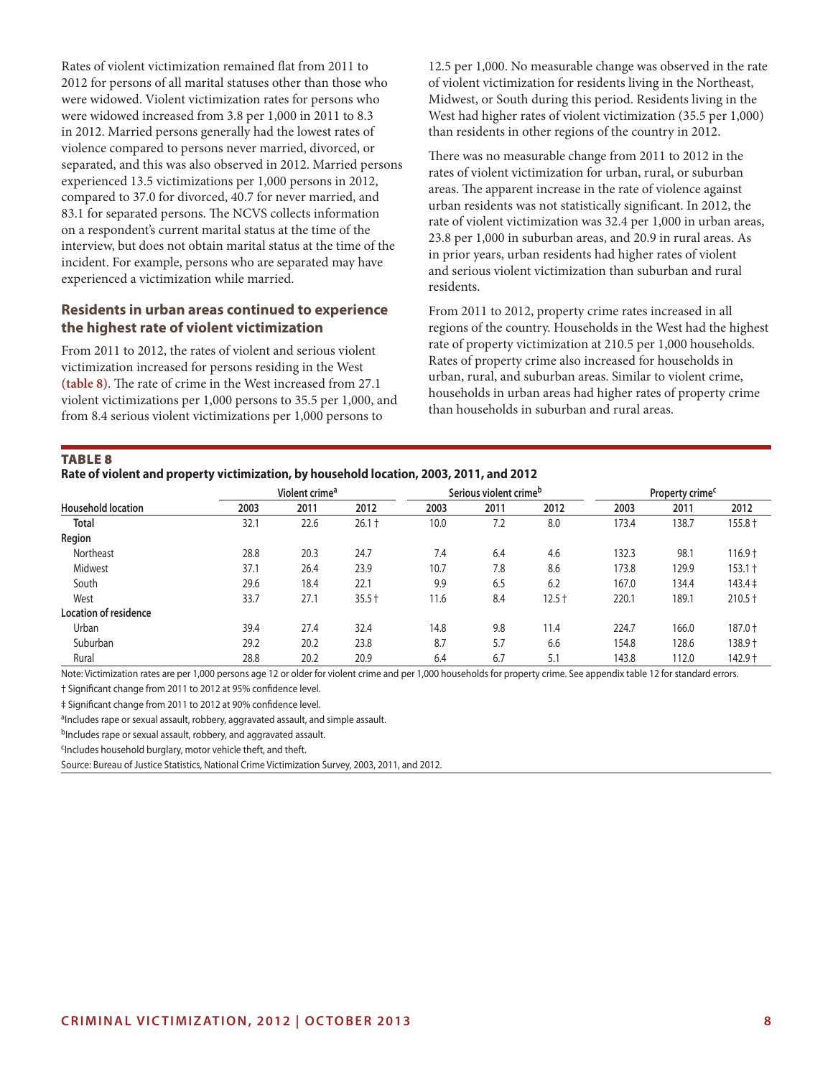Rates of violent victimization remained flat from 2011 to 2012 for persons of all marital statuses other than those who were widowed. Violent victimization rates for persons who were widowed increased from 3.8 per 1,000 in 2011 to 8.3 in 2012. Married persons generally had the lowest rates of violence compared to persons never married, divorced, or separated, and this was also observed in 2012. Married persons experienced 13.5 victimizations per 1,000 persons in 2012, compared to 37.0 for divorced, 40.7 for never married, and 83.1 for separated persons. The NCVS collects information on a respondent's current marital status at the time of the interview, but does not obtain marital status at the time of the incident. For example, persons who are separated may have experienced a victimization while married.

#### **Residents in urban areas continued to experience the highest rate of violent victimization**

From 2011 to 2012, the rates of violent and serious violent victimization increased for persons residing in the West **(table 8)**. The rate of crime in the West increased from 27.1 violent victimizations per 1,000 persons to 35.5 per 1,000, and from 8.4 serious violent victimizations per 1,000 persons to

12.5 per 1,000. No measurable change was observed in the rate of violent victimization for residents living in the Northeast, Midwest, or South during this period. Residents living in the West had higher rates of violent victimization (35.5 per 1,000) than residents in other regions of the country in 2012.

There was no measurable change from 2011 to 2012 in the rates of violent victimization for urban, rural, or suburban areas. The apparent increase in the rate of violence against urban residents was not statistically significant. In 2012, the rate of violent victimization was 32.4 per 1,000 in urban areas, 23.8 per 1,000 in suburban areas, and 20.9 in rural areas. As in prior years, urban residents had higher rates of violent and serious violent victimization than suburban and rural residents.

From 2011 to 2012, property crime rates increased in all regions of the country. Households in the West had the highest rate of property victimization at 210.5 per 1,000 households. Rates of property crime also increased for households in urban, rural, and suburban areas. Similar to violent crime, households in urban areas had higher rates of property crime than households in suburban and rural areas.

#### **TABLE 8**

#### **Rate of violent and property victimization, by household location, 2003, 2011, and 2012**

|                           |      | Violent crime <sup>a</sup> |          |      | Serious violent crime <sup>b</sup> |          |       | Property crime <sup>c</sup> |             |
|---------------------------|------|----------------------------|----------|------|------------------------------------|----------|-------|-----------------------------|-------------|
| <b>Household location</b> | 2003 | 2011                       | 2012     | 2003 | 2011                               | 2012     | 2003  | 2011                        | 2012        |
| <b>Total</b>              | 32.1 | 22.6                       | $26.1 +$ | 10.0 | 7.2                                | 8.0      | 173.4 | 138.7                       | $155.8 +$   |
| Region                    |      |                            |          |      |                                    |          |       |                             |             |
| Northeast                 | 28.8 | 20.3                       | 24.7     | 7.4  | 6.4                                | 4.6      | 132.3 | 98.1                        | $116.9 +$   |
| Midwest                   | 37.1 | 26.4                       | 23.9     | 10.7 | 7.8                                | 8.6      | 173.8 | 129.9                       | $153.1 +$   |
| South                     | 29.6 | 18.4                       | 22.1     | 9.9  | 6.5                                | 6.2      | 167.0 | 134.4                       | $143.4 \pm$ |
| West                      | 33.7 | 27.1                       | $35.5 +$ | 11.6 | 8.4                                | $12.5 +$ | 220.1 | 189.1                       | $210.5 +$   |
| Location of residence     |      |                            |          |      |                                    |          |       |                             |             |
| Urban                     | 39.4 | 27.4                       | 32.4     | 14.8 | 9.8                                | 11.4     | 224.7 | 166.0                       | 187.0 +     |
| Suburban                  | 29.2 | 20.2                       | 23.8     | 8.7  | 5.7                                | 6.6      | 154.8 | 128.6                       | $138.9 +$   |
| Rural                     | 28.8 | 20.2                       | 20.9     | 6.4  | 6.7                                | 5.1      | 143.8 | 112.0                       | $142.9 +$   |

Note: Victimization rates are per 1,000 persons age 12 or older for violent crime and per 1,000 households for property crime. See appendix table 12 for standard errors.

† Significant change from 2011 to 2012 at 95% confidence level.

‡ Significant change from 2011 to 2012 at 90% confidence level.

aIncludes rape or sexual assault, robbery, aggravated assault, and simple assault.

bIncludes rape or sexual assault, robbery, and aggravated assault.

cIncludes household burglary, motor vehicle theft, and theft.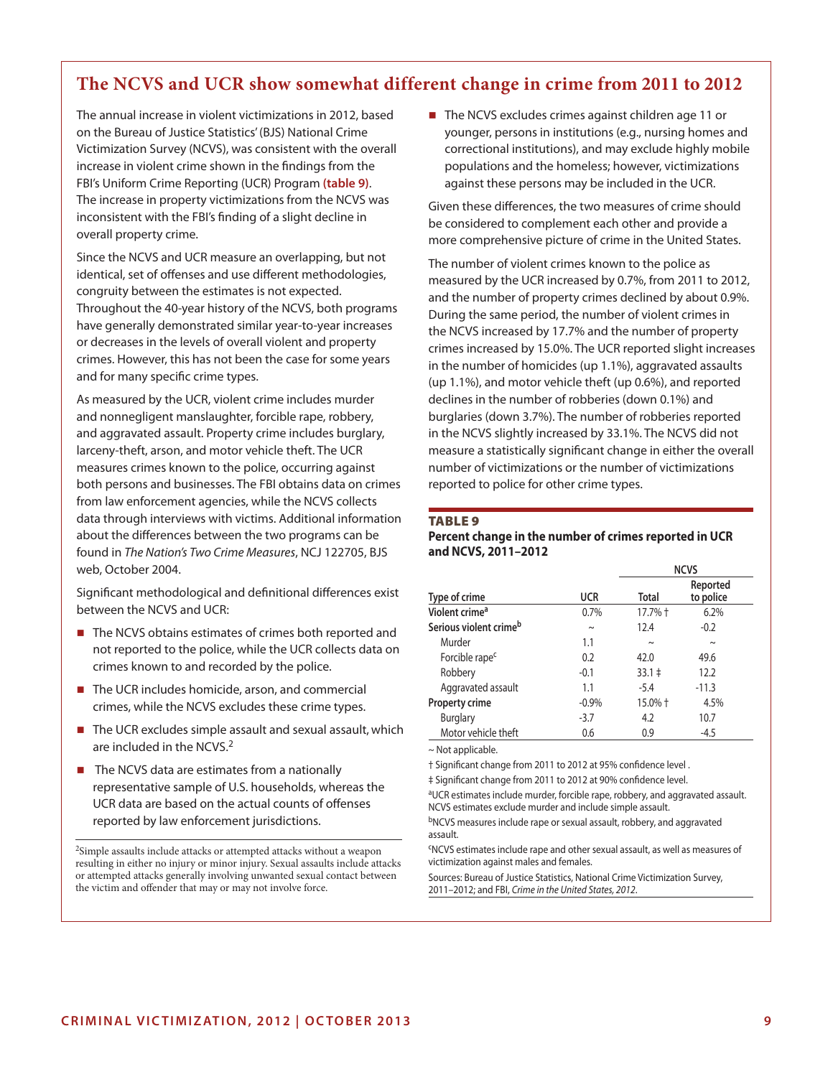# **The NCVS and UCR show somewhat different change in crime from 2011 to 2012**

The annual increase in violent victimizations in 2012, based on the Bureau of Justice Statistics' (BJS) National Crime Victimization Survey (NCVS), was consistent with the overall increase in violent crime shown in the findings from the FBI's Uniform Crime Reporting (UCR) Program **(table 9)**. The increase in property victimizations from the NCVS was inconsistent with the FBI's finding of a slight decline in overall property crime.

Since the NCVS and UCR measure an overlapping, but not identical, set of offenses and use different methodologies, congruity between the estimates is not expected. Throughout the 40-year history of the NCVS, both programs have generally demonstrated similar year-to-year increases or decreases in the levels of overall violent and property crimes. However, this has not been the case for some years and for many specific crime types.

As measured by the UCR, violent crime includes murder and nonnegligent manslaughter, forcible rape, robbery, and aggravated assault. Property crime includes burglary, larceny-theft, arson, and motor vehicle theft. The UCR measures crimes known to the police, occurring against both persons and businesses. The FBI obtains data on crimes from law enforcement agencies, while the NCVS collects data through interviews with victims. Additional information about the differences between the two programs can be found in *The Nation's Two Crime Measures*, NCJ 122705, BJS web, October 2004.

Significant methodological and definitional differences exist between the NCVS and UCR:

- The NCVS obtains estimates of crimes both reported and not reported to the police, while the UCR collects data on crimes known to and recorded by the police.
- The UCR includes homicide, arson, and commercial crimes, while the NCVS excludes these crime types.
- The UCR excludes simple assault and sexual assault, which are included in the NCVS.2
- $\blacksquare$  The NCVS data are estimates from a nationally representative sample of U.S. households, whereas the UCR data are based on the actual counts of offenses reported by law enforcement jurisdictions.

2Simple assaults include attacks or attempted attacks without a weapon resulting in either no injury or minor injury. Sexual assaults include attacks or attempted attacks generally involving unwanted sexual contact between the victim and offender that may or may not involve force.

■ The NCVS excludes crimes against children age 11 or younger, persons in institutions (e.g., nursing homes and correctional institutions), and may exclude highly mobile populations and the homeless; however, victimizations against these persons may be included in the UCR.

Given these differences, the two measures of crime should be considered to complement each other and provide a more comprehensive picture of crime in the United States.

The number of violent crimes known to the police as measured by the UCR increased by 0.7%, from 2011 to 2012, and the number of property crimes declined by about 0.9%. During the same period, the number of violent crimes in the NCVS increased by 17.7% and the number of property crimes increased by 15.0%. The UCR reported slight increases in the number of homicides (up 1.1%), aggravated assaults (up 1.1%), and motor vehicle theft (up 0.6%), and reported declines in the number of robberies (down 0.1%) and burglaries (down 3.7%). The number of robberies reported in the NCVS slightly increased by 33.1%. The NCVS did not measure a statistically significant change in either the overall number of victimizations or the number of victimizations reported to police for other crime types.

#### **TABLE 9**

#### **Percent change in the number of crimes reported in UCR and NCVS, 2011–2012**

|                            |            |             | <b>NCVS</b>           |
|----------------------------|------------|-------------|-----------------------|
| Type of crime              | <b>UCR</b> | Total       | Reported<br>to police |
| Violent crime <sup>a</sup> | 0.7%       | $17.7%$ $+$ | 6.2%                  |
| Serious violent crimeb     | $\sim$     | 12.4        | $-0.2$                |
| Murder                     | 1.1        | $\sim$      | $\sim$                |
| Forcible rape <sup>c</sup> | 0.2        | 42.0        | 49.6                  |
| Robbery                    | $-0.1$     | $33.1 \pm$  | 12.2                  |
| Aggravated assault         | 1.1        | $-5.4$      | $-11.3$               |
| <b>Property crime</b>      | $-0.9%$    | 15.0% +     | 4.5%                  |
| <b>Burglary</b>            | $-3.7$     | 4.2         | 10.7                  |
| Motor vehicle theft        | 0.6        | 0.9         | $-4.5$                |

~ Not applicable.

† Significant change from 2011 to 2012 at 95% confidence level .

‡ Significant change from 2011 to 2012 at 90% confidence level.

aUCR estimates include murder, forcible rape, robbery, and aggravated assault. NCVS estimates exclude murder and include simple assault.

bNCVS measures include rape or sexual assault, robbery, and aggravated assault.

cNCVS estimates include rape and other sexual assault, as well as measures of victimization against males and females.

Sources: Bureau of Justice Statistics, National Crime Victimization Survey, 2011–2012; and FBI, *Crime in the United States, 2012*.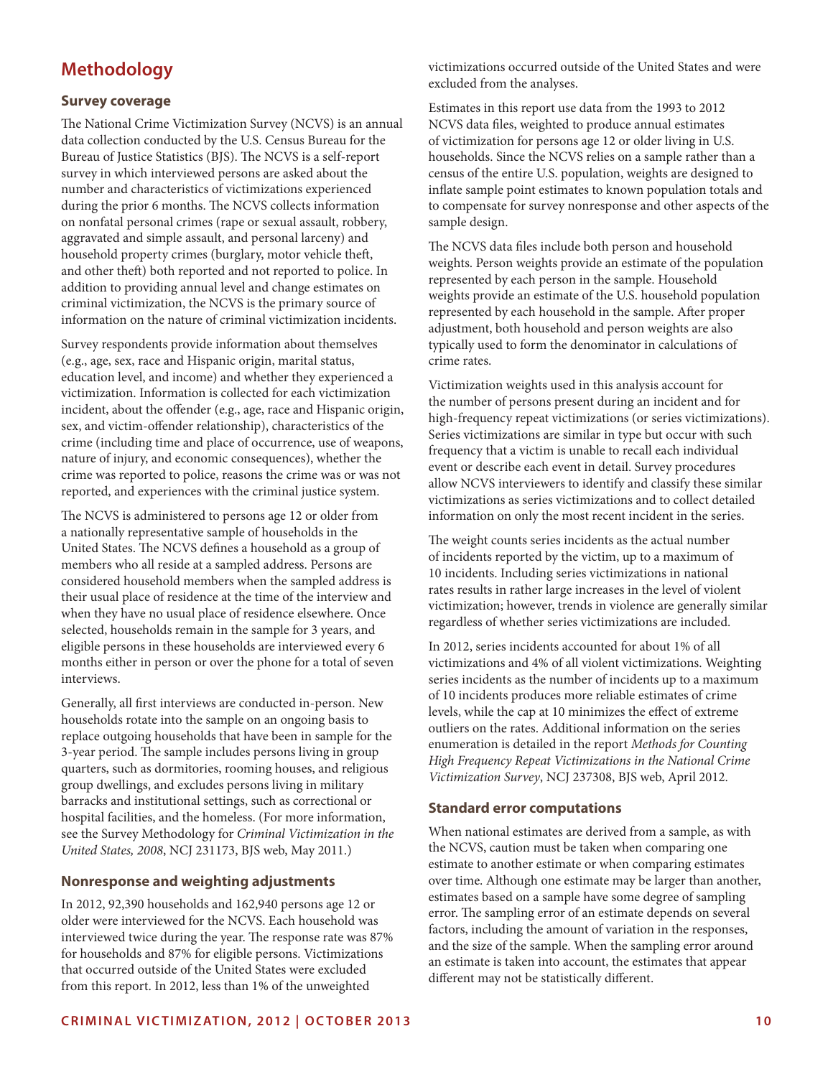# **Methodology**

## **Survey coverage**

The National Crime Victimization Survey (NCVS) is an annual data collection conducted by the U.S. Census Bureau for the Bureau of Justice Statistics (BJS). The NCVS is a self-report survey in which interviewed persons are asked about the number and characteristics of victimizations experienced during the prior 6 months. The NCVS collects information on nonfatal personal crimes (rape or sexual assault, robbery, aggravated and simple assault, and personal larceny) and household property crimes (burglary, motor vehicle theft, and other theft) both reported and not reported to police. In addition to providing annual level and change estimates on criminal victimization, the NCVS is the primary source of information on the nature of criminal victimization incidents.

Survey respondents provide information about themselves (e.g., age, sex, race and Hispanic origin, marital status, education level, and income) and whether they experienced a victimization. Information is collected for each victimization incident, about the offender (e.g., age, race and Hispanic origin, sex, and victim-offender relationship), characteristics of the crime (including time and place of occurrence, use of weapons, nature of injury, and economic consequences), whether the crime was reported to police, reasons the crime was or was not reported, and experiences with the criminal justice system.

The NCVS is administered to persons age 12 or older from a nationally representative sample of households in the United States. The NCVS defines a household as a group of members who all reside at a sampled address. Persons are considered household members when the sampled address is their usual place of residence at the time of the interview and when they have no usual place of residence elsewhere. Once selected, households remain in the sample for 3 years, and eligible persons in these households are interviewed every 6 months either in person or over the phone for a total of seven interviews.

Generally, all first interviews are conducted in-person. New households rotate into the sample on an ongoing basis to replace outgoing households that have been in sample for the 3-year period. The sample includes persons living in group quarters, such as dormitories, rooming houses, and religious group dwellings, and excludes persons living in military barracks and institutional settings, such as correctional or hospital facilities, and the homeless. (For more information, see the Survey Methodology for *Criminal Victimization in the United States, 2008*, NCJ 231173, BJS web, May 2011.)

#### **Nonresponse and weighting adjustments**

In 2012, 92,390 households and 162,940 persons age 12 or older were interviewed for the NCVS. Each household was interviewed twice during the year. The response rate was 87% for households and 87% for eligible persons. Victimizations that occurred outside of the United States were excluded from this report. In 2012, less than 1% of the unweighted

victimizations occurred outside of the United States and were excluded from the analyses.

Estimates in this report use data from the 1993 to 2012 NCVS data files, weighted to produce annual estimates of victimization for persons age 12 or older living in U.S. households. Since the NCVS relies on a sample rather than a census of the entire U.S. population, weights are designed to inflate sample point estimates to known population totals and to compensate for survey nonresponse and other aspects of the sample design.

The NCVS data files include both person and household weights. Person weights provide an estimate of the population represented by each person in the sample. Household weights provide an estimate of the U.S. household population represented by each household in the sample. After proper adjustment, both household and person weights are also typically used to form the denominator in calculations of crime rates.

Victimization weights used in this analysis account for the number of persons present during an incident and for high-frequency repeat victimizations (or series victimizations). Series victimizations are similar in type but occur with such frequency that a victim is unable to recall each individual event or describe each event in detail. Survey procedures allow NCVS interviewers to identify and classify these similar victimizations as series victimizations and to collect detailed information on only the most recent incident in the series.

The weight counts series incidents as the actual number of incidents reported by the victim, up to a maximum of 10 incidents. Including series victimizations in national rates results in rather large increases in the level of violent victimization; however, trends in violence are generally similar regardless of whether series victimizations are included.

In 2012, series incidents accounted for about 1% of all victimizations and 4% of all violent victimizations. Weighting series incidents as the number of incidents up to a maximum of 10 incidents produces more reliable estimates of crime levels, while the cap at 10 minimizes the effect of extreme outliers on the rates. Additional information on the series enumeration is detailed in the report *Methods for Counting High Frequency Repeat Victimizations in the National Crime Victimization Survey*, NCJ 237308, BJS web, April 2012.

#### **Standard error computations**

When national estimates are derived from a sample, as with the NCVS, caution must be taken when comparing one estimate to another estimate or when comparing estimates over time. Although one estimate may be larger than another, estimates based on a sample have some degree of sampling error. The sampling error of an estimate depends on several factors, including the amount of variation in the responses, and the size of the sample. When the sampling error around an estimate is taken into account, the estimates that appear different may not be statistically different.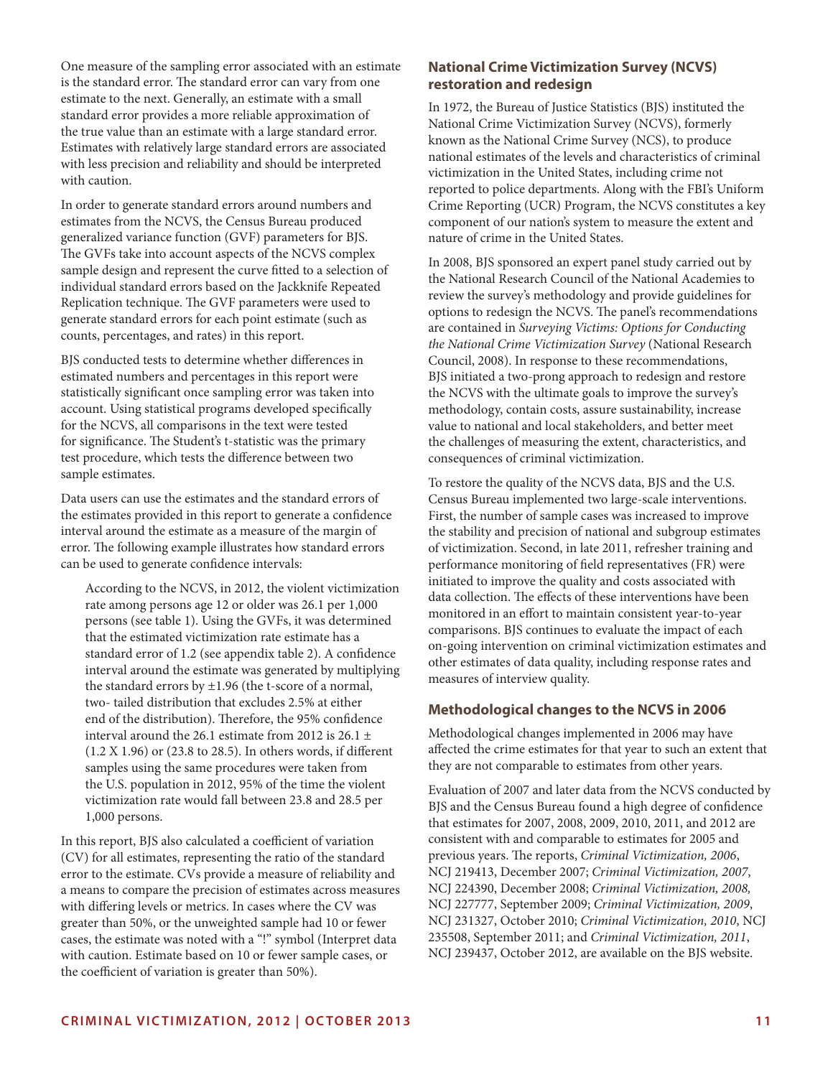One measure of the sampling error associated with an estimate is the standard error. The standard error can vary from one estimate to the next. Generally, an estimate with a small standard error provides a more reliable approximation of the true value than an estimate with a large standard error. Estimates with relatively large standard errors are associated with less precision and reliability and should be interpreted with caution.

In order to generate standard errors around numbers and estimates from the NCVS, the Census Bureau produced generalized variance function (GVF) parameters for BJS. The GVFs take into account aspects of the NCVS complex sample design and represent the curve fitted to a selection of individual standard errors based on the Jackknife Repeated Replication technique. The GVF parameters were used to generate standard errors for each point estimate (such as counts, percentages, and rates) in this report.

BJS conducted tests to determine whether differences in estimated numbers and percentages in this report were statistically significant once sampling error was taken into account. Using statistical programs developed specifically for the NCVS, all comparisons in the text were tested for significance. The Student's t-statistic was the primary test procedure, which tests the difference between two sample estimates.

Data users can use the estimates and the standard errors of the estimates provided in this report to generate a confidence interval around the estimate as a measure of the margin of error. The following example illustrates how standard errors can be used to generate confidence intervals:

According to the NCVS, in 2012, the violent victimization rate among persons age 12 or older was 26.1 per 1,000 persons (see table 1). Using the GVFs, it was determined that the estimated victimization rate estimate has a standard error of 1.2 (see appendix table 2). A confidence interval around the estimate was generated by multiplying the standard errors by  $\pm 1.96$  (the t-score of a normal, two- tailed distribution that excludes 2.5% at either end of the distribution). Therefore, the 95% confidence interval around the 26.1 estimate from 2012 is 26.1  $\pm$ (1.2 X 1.96) or (23.8 to 28.5). In others words, if different samples using the same procedures were taken from the U.S. population in 2012, 95% of the time the violent victimization rate would fall between 23.8 and 28.5 per 1,000 persons.

In this report, BJS also calculated a coefficient of variation (CV) for all estimates, representing the ratio of the standard error to the estimate. CVs provide a measure of reliability and a means to compare the precision of estimates across measures with differing levels or metrics. In cases where the CV was greater than 50%, or the unweighted sample had 10 or fewer cases, the estimate was noted with a "!" symbol (Interpret data with caution. Estimate based on 10 or fewer sample cases, or the coefficient of variation is greater than 50%).

# **National Crime Victimization Survey (NCVS) restoration and redesign**

In 1972, the Bureau of Justice Statistics (BJS) instituted the National Crime Victimization Survey (NCVS), formerly known as the National Crime Survey (NCS), to produce national estimates of the levels and characteristics of criminal victimization in the United States, including crime not reported to police departments. Along with the FBI's Uniform Crime Reporting (UCR) Program, the NCVS constitutes a key component of our nation's system to measure the extent and nature of crime in the United States.

In 2008, BJS sponsored an expert panel study carried out by the National Research Council of the National Academies to review the survey's methodology and provide guidelines for options to redesign the NCVS. The panel's recommendations are contained in *Surveying Victims: Options for Conducting the National Crime Victimization Survey* (National Research Council, 2008). In response to these recommendations, BJS initiated a two-prong approach to redesign and restore the NCVS with the ultimate goals to improve the survey's methodology, contain costs, assure sustainability, increase value to national and local stakeholders, and better meet the challenges of measuring the extent, characteristics, and consequences of criminal victimization.

To restore the quality of the NCVS data, BJS and the U.S. Census Bureau implemented two large-scale interventions. First, the number of sample cases was increased to improve the stability and precision of national and subgroup estimates of victimization. Second, in late 2011, refresher training and performance monitoring of field representatives (FR) were initiated to improve the quality and costs associated with data collection. The effects of these interventions have been monitored in an effort to maintain consistent year-to-year comparisons. BJS continues to evaluate the impact of each on-going intervention on criminal victimization estimates and other estimates of data quality, including response rates and measures of interview quality.

# **Methodological changes to the NCVS in 2006**

Methodological changes implemented in 2006 may have affected the crime estimates for that year to such an extent that they are not comparable to estimates from other years.

Evaluation of 2007 and later data from the NCVS conducted by BJS and the Census Bureau found a high degree of confidence that estimates for 2007, 2008, 2009, 2010, 2011, and 2012 are consistent with and comparable to estimates for 2005 and previous years. The reports, *Criminal Victimization, 2006*, NCJ 219413, December 2007; *Criminal Victimization, 2007*, NCJ 224390, December 2008; *Criminal Victimization, 2008,* NCJ 227777, September 2009; *Criminal Victimization, 2009*, NCJ 231327, October 2010; *Criminal Victimization, 2010*, NCJ 235508, September 2011; and *Criminal Victimization, 2011*, NCJ 239437, October 2012, are available on the BJS website.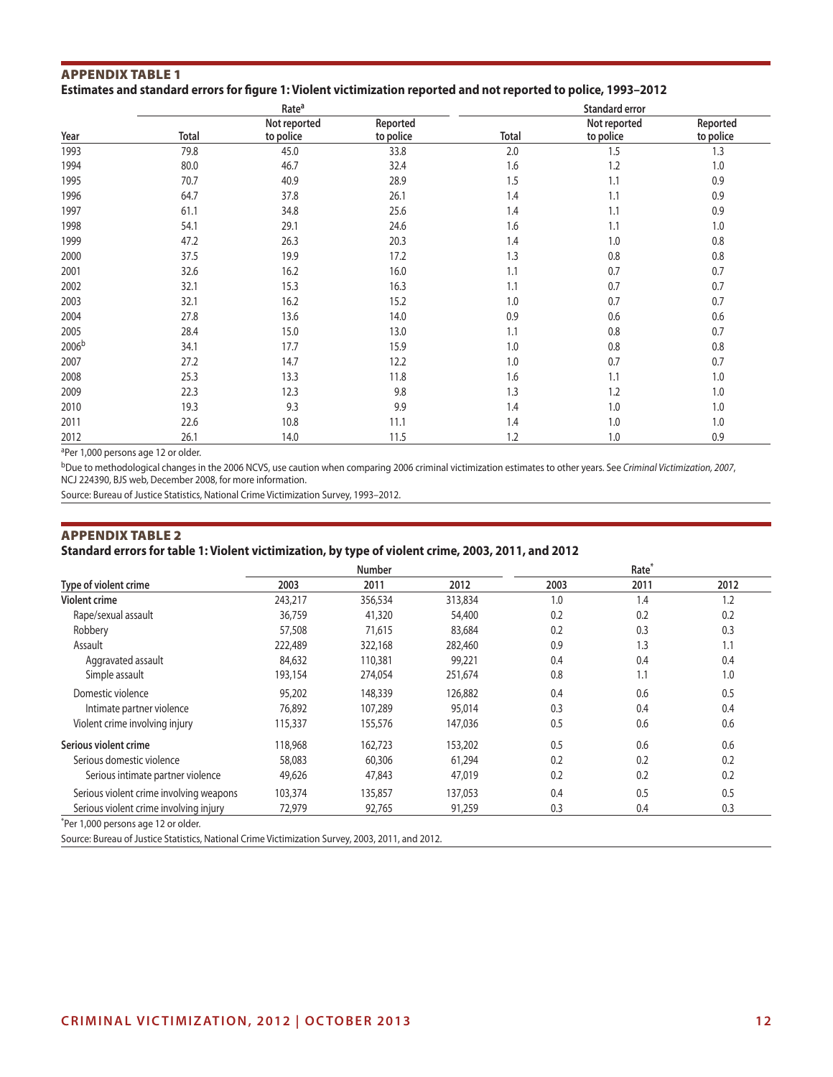#### Appendix Table 1 **Estimates and standard errors for figure 1: Violent victimization reported and not reported to police, 1993–2012**

|                   |                        | Rate <sup>a</sup>         |                       |              | <b>Standard error</b>     |                       |
|-------------------|------------------------|---------------------------|-----------------------|--------------|---------------------------|-----------------------|
| Year              | <b>Total</b>           | Not reported<br>to police | Reported<br>to police | <b>Total</b> | Not reported<br>to police | Reported<br>to police |
| 1993              | 79.8                   | 45.0                      | 33.8                  | 2.0          | 1.5                       | 1.3                   |
| 1994              | 80.0                   | 46.7                      | 32.4                  | 1.6          | 1.2                       | 1.0                   |
| 1995              | 70.7                   | 40.9                      | 28.9                  | 1.5          | 1.1                       | 0.9                   |
| 1996              | 64.7                   | 37.8                      | 26.1                  | 1.4          | 1.1                       | 0.9                   |
| 1997              | 61.1                   | 34.8                      | 25.6                  | 1.4          | 1.1                       | 0.9                   |
| 1998              | 54.1                   | 29.1                      | 24.6                  | 1.6          | 1.1                       | 1.0                   |
| 1999              | 47.2                   | 26.3                      | 20.3                  | 1.4          | 1.0                       | 0.8                   |
| 2000              | 37.5                   | 19.9                      | 17.2                  | 1.3          | 0.8                       | 0.8                   |
| 2001              | 32.6                   | 16.2                      | 16.0                  | 1.1          | 0.7                       | 0.7                   |
| 2002              | 32.1                   | 15.3                      | 16.3                  | 1.1          | 0.7                       | 0.7                   |
| 2003              | 32.1                   | 16.2                      | 15.2                  | 1.0          | 0.7                       | 0.7                   |
| 2004              | 27.8                   | 13.6                      | 14.0                  | 0.9          | 0.6                       | 0.6                   |
| 2005              | 28.4                   | 15.0                      | 13.0                  | 1.1          | 0.8                       | 0.7                   |
| 2006 <sup>b</sup> | 34.1                   | 17.7                      | 15.9                  | 1.0          | 0.8                       | 0.8                   |
| 2007              | 27.2                   | 14.7                      | 12.2                  | 1.0          | 0.7                       | 0.7                   |
| 2008              | 25.3                   | 13.3                      | 11.8                  | 1.6          | 1.1                       | 1.0                   |
| 2009              | 22.3                   | 12.3                      | 9.8                   | 1.3          | 1.2                       | 1.0                   |
| 2010              | 19.3                   | 9.3                       | 9.9                   | 1.4          | 1.0                       | 1.0                   |
| 2011              | 22.6                   | 10.8                      | 11.1                  | 1.4          | 1.0                       | 1.0                   |
| 2012              | 26.1                   | 14.0                      | 11.5                  | 1.2          | 1.0                       | 0.9                   |
| $20 - 400$        | $\mathbf{r}$<br>$\sim$ |                           |                       |              |                           |                       |

aPer 1,000 persons age 12 or older.

bDue to methodological changes in the 2006 NCVS, use caution when comparing 2006 criminal victimization estimates to other years. See *Criminal Victimization, 2007*, NCJ 224390, BJS web, December 2008, for more information.

Source: Bureau of Justice Statistics, National Crime Victimization Survey, 1993–2012.

# Appendix Table 2 **Standard errors for table 1: Violent victimization, by type of violent crime, 2003, 2011, and 2012**

|                                         |         | <b>Number</b> |         |      | Rate <sup>*</sup> |      |
|-----------------------------------------|---------|---------------|---------|------|-------------------|------|
| Type of violent crime                   | 2003    | 2011          | 2012    | 2003 | 2011              | 2012 |
| <b>Violent crime</b>                    | 243,217 | 356,534       | 313,834 | 1.0  | 1.4               | 1.2  |
| Rape/sexual assault                     | 36,759  | 41,320        | 54,400  | 0.2  | 0.2               | 0.2  |
| Robbery                                 | 57,508  | 71,615        | 83,684  | 0.2  | 0.3               | 0.3  |
| Assault                                 | 222,489 | 322,168       | 282,460 | 0.9  | 1.3               | 1.1  |
| Aggravated assault                      | 84,632  | 110,381       | 99,221  | 0.4  | 0.4               | 0.4  |
| Simple assault                          | 193,154 | 274,054       | 251,674 | 0.8  | 1.1               | 1.0  |
| Domestic violence                       | 95,202  | 148,339       | 126,882 | 0.4  | 0.6               | 0.5  |
| Intimate partner violence               | 76,892  | 107,289       | 95,014  | 0.3  | 0.4               | 0.4  |
| Violent crime involving injury          | 115,337 | 155,576       | 147,036 | 0.5  | 0.6               | 0.6  |
| Serious violent crime                   | 118,968 | 162,723       | 153,202 | 0.5  | 0.6               | 0.6  |
| Serious domestic violence               | 58,083  | 60,306        | 61,294  | 0.2  | 0.2               | 0.2  |
| Serious intimate partner violence       | 49,626  | 47,843        | 47,019  | 0.2  | 0.2               | 0.2  |
| Serious violent crime involving weapons | 103,374 | 135,857       | 137,053 | 0.4  | 0.5               | 0.5  |
| Serious violent crime involving injury  | 72,979  | 92,765        | 91,259  | 0.3  | 0.4               | 0.3  |
| *Per 1,000 persons age 12 or older.     |         |               |         |      |                   |      |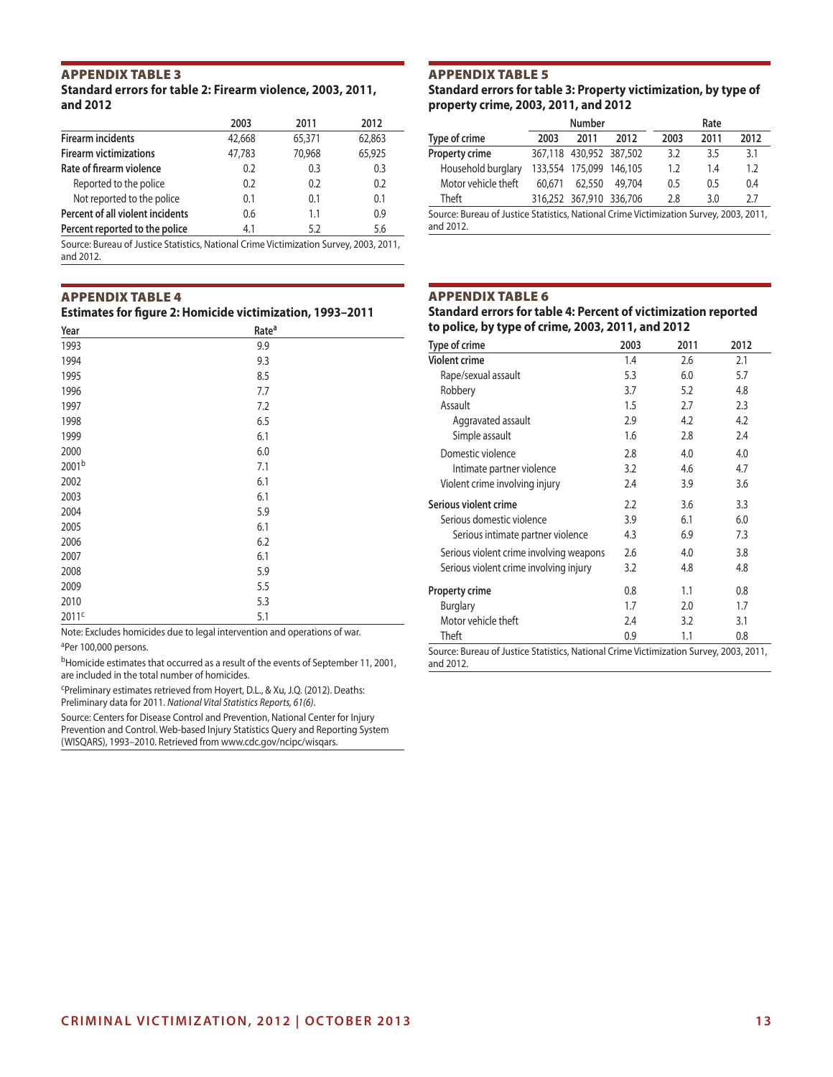# Appendix Table 3

#### **Standard errors for table 2: Firearm violence, 2003, 2011, and 2012**

|                                                                                                                                                                                                                             | 2003   | 2011   | 2012   |
|-----------------------------------------------------------------------------------------------------------------------------------------------------------------------------------------------------------------------------|--------|--------|--------|
| <b>Firearm incidents</b>                                                                                                                                                                                                    | 42,668 | 65,371 | 62,863 |
| <b>Firearm victimizations</b>                                                                                                                                                                                               | 47,783 | 70,968 | 65,925 |
| Rate of firearm violence                                                                                                                                                                                                    | 0.2    | 0.3    | 0.3    |
| Reported to the police                                                                                                                                                                                                      | 0.2    | 0.2    | 0.2    |
| Not reported to the police                                                                                                                                                                                                  | 0.1    | 0.1    | 0.1    |
| Percent of all violent incidents                                                                                                                                                                                            | 0.6    | 1.1    | 0.9    |
| Percent reported to the police                                                                                                                                                                                              | 4.1    | 5.2    | 5.6    |
| $C_1$ and $D_2$ and $D_3$ and $D_4$ and $D_5$ and $D_6$ and $D_7$ and $D_8$ and $D_7$ and $D_8$ and $D_7$ and $D_8$ and $D_7$ and $D_8$ and $D_8$ and $D_9$ and $D_9$ and $D_9$ and $D_9$ and $D_9$ and $D_9$ and $D_9$ and |        |        |        |

Source: Bureau of Justice Statistics, National Crime Victimization Survey, 2003, 2011, and 2012.

#### Appendix Table 4

| <b>Estimates for figure 2: Homicide victimization, 1993-2011</b> |  |  |  |  |
|------------------------------------------------------------------|--|--|--|--|
|------------------------------------------------------------------|--|--|--|--|

| Year              | Rate <sup>a</sup> |  |
|-------------------|-------------------|--|
| 1993              | 9.9               |  |
| 1994              | 9.3               |  |
| 1995              | 8.5               |  |
| 1996              | 7.7               |  |
| 1997              | 7.2               |  |
| 1998              | 6.5               |  |
| 1999              | 6.1               |  |
| 2000              | 6.0               |  |
| 2001b             | 7.1               |  |
| 2002              | 6.1               |  |
| 2003              | 6.1               |  |
| 2004              | 5.9               |  |
| 2005              | 6.1               |  |
| 2006              | 6.2               |  |
| 2007              | 6.1               |  |
| 2008              | 5.9               |  |
| 2009              | 5.5               |  |
| 2010              | 5.3               |  |
| 2011 <sup>c</sup> | 5.1               |  |

Note: Excludes homicides due to legal intervention and operations of war. aPer 100,000 persons.

bHomicide estimates that occurred as a result of the events of September 11, 2001, are included in the total number of homicides.

cPreliminary estimates retrieved from Hoyert, D.L., & Xu, J.Q. (2012). Deaths: Preliminary data for 2011. *National Vital Statistics Reports, 61(6)*.

Source: Centers for Disease Control and Prevention, National Center for Injury Prevention and Control. Web-based Injury Statistics Query and Reporting System (WISQARS), 1993–2010. Retrieved from www.cdc.gov/ncipc/wisqars.

# Appendix Table 5

**Standard errors for table 3: Property victimization, by type of property crime, 2003, 2011, and 2012**

|                                                                                        |        | <b>Number</b><br>Rate   |        |      |      |      |  |  |
|----------------------------------------------------------------------------------------|--------|-------------------------|--------|------|------|------|--|--|
| Type of crime                                                                          | 2003   | 2011                    | 2012   | 2003 | 2011 | 2012 |  |  |
| Property crime                                                                         |        | 367,118 430,952 387,502 |        | 3.2  | 3.5  | 3.1  |  |  |
| Household burglary                                                                     |        | 133.554 175.099 146.105 |        | 1.2  | 1.4  | 1.2  |  |  |
| Motor vehicle theft                                                                    | 60.671 | 62,550                  | 49.704 | 0.5  | 0.5  | 0.4  |  |  |
| Theft                                                                                  |        | 316,252 367,910 336,706 |        | 2.8  | 3.0  | 2.7  |  |  |
| Source: Bureau of Justice Statistics, National Crime Victimization Survey, 2003, 2011, |        |                         |        |      |      |      |  |  |

and 2012.

#### Appendix Table 6

**Standard errors for table 4: Percent of victimization reported to police, by type of crime, 2003, 2011, and 2012**

| Type of crime                           | 2003 | 2011 | 2012 |
|-----------------------------------------|------|------|------|
| <b>Violent crime</b>                    | 1.4  | 2.6  | 2.1  |
| Rape/sexual assault                     | 5.3  | 6.0  | 5.7  |
| Robbery                                 | 3.7  | 5.2  | 4.8  |
| Assault                                 | 1.5  | 2.7  | 2.3  |
| Aggravated assault                      | 2.9  | 4.2  | 4.2  |
| Simple assault                          | 1.6  | 2.8  | 2.4  |
| Domestic violence                       | 2.8  | 4.0  | 4.0  |
| Intimate partner violence               | 3.2  | 4.6  | 4.7  |
| Violent crime involving injury          | 2.4  | 3.9  | 3.6  |
| Serious violent crime                   | 2.2  | 3.6  | 3.3  |
| Serious domestic violence               | 3.9  | 6.1  | 6.0  |
| Serious intimate partner violence       | 4.3  | 6.9  | 7.3  |
| Serious violent crime involving weapons | 2.6  | 4.0  | 3.8  |
| Serious violent crime involving injury  | 3.2  | 4.8  | 4.8  |
| <b>Property crime</b>                   | 0.8  | 1.1  | 0.8  |
| <b>Burglary</b>                         | 1.7  | 2.0  | 1.7  |
| Motor vehicle theft                     | 2.4  | 3.2  | 3.1  |
| Theft                                   | 0.9  | 1.1  | 0.8  |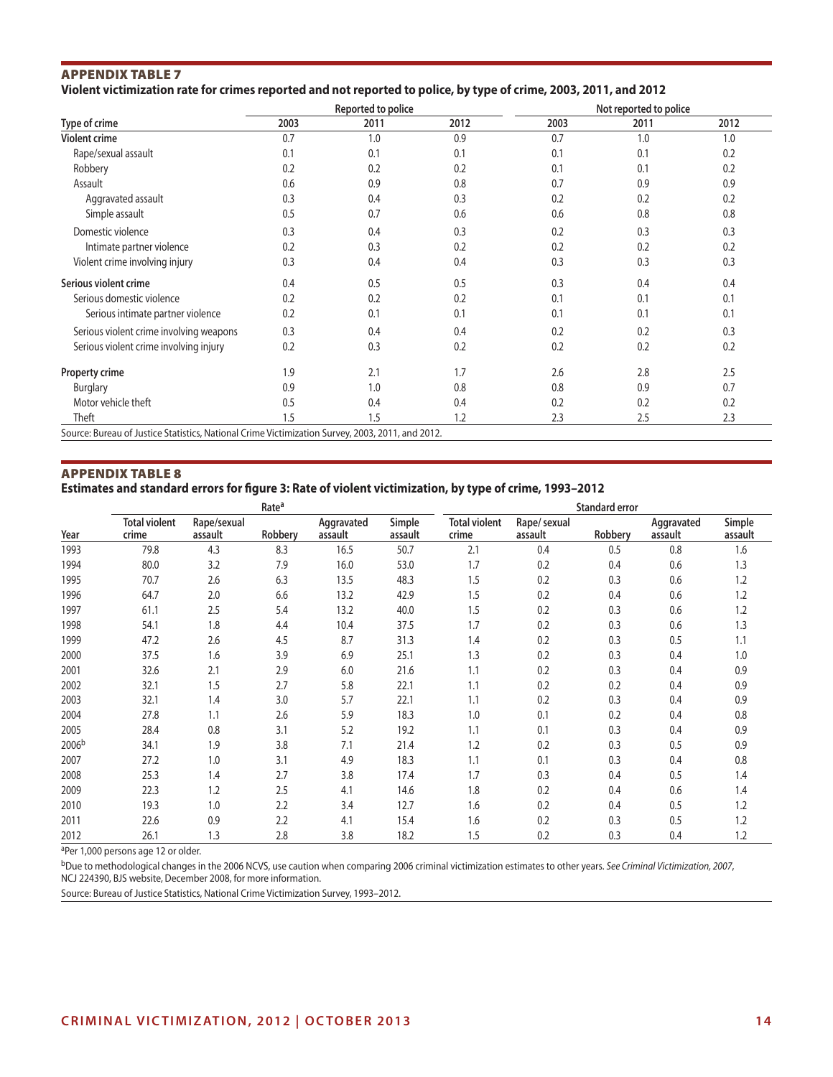# Appendix Table 7 **Violent victimization rate for crimes reported and not reported to police, by type of crime, 2003, 2011, and 2012**

|                                                                                                  |      | Reported to police |      | Not reported to police |      |      |  |  |
|--------------------------------------------------------------------------------------------------|------|--------------------|------|------------------------|------|------|--|--|
| Type of crime                                                                                    | 2003 | 2011               | 2012 | 2003                   | 2011 | 2012 |  |  |
| <b>Violent crime</b>                                                                             | 0.7  | 1.0                | 0.9  | 0.7                    | 1.0  | 1.0  |  |  |
| Rape/sexual assault                                                                              | 0.1  | 0.1                | 0.1  | 0.1                    | 0.1  | 0.2  |  |  |
| Robbery                                                                                          | 0.2  | 0.2                | 0.2  | 0.1                    | 0.1  | 0.2  |  |  |
| Assault                                                                                          | 0.6  | 0.9                | 0.8  | 0.7                    | 0.9  | 0.9  |  |  |
| Aggravated assault                                                                               | 0.3  | 0.4                | 0.3  | 0.2                    | 0.2  | 0.2  |  |  |
| Simple assault                                                                                   | 0.5  | 0.7                | 0.6  | 0.6                    | 0.8  | 0.8  |  |  |
| Domestic violence                                                                                | 0.3  | 0.4                | 0.3  | 0.2                    | 0.3  | 0.3  |  |  |
| Intimate partner violence                                                                        | 0.2  | 0.3                | 0.2  | 0.2                    | 0.2  | 0.2  |  |  |
| Violent crime involving injury                                                                   | 0.3  | 0.4                | 0.4  | 0.3                    | 0.3  | 0.3  |  |  |
| Serious violent crime                                                                            | 0.4  | 0.5                | 0.5  | 0.3                    | 0.4  | 0.4  |  |  |
| Serious domestic violence                                                                        | 0.2  | 0.2                | 0.2  | 0.1                    | 0.1  | 0.1  |  |  |
| Serious intimate partner violence                                                                | 0.2  | 0.1                | 0.1  | 0.1                    | 0.1  | 0.1  |  |  |
| Serious violent crime involving weapons                                                          | 0.3  | 0.4                | 0.4  | 0.2                    | 0.2  | 0.3  |  |  |
| Serious violent crime involving injury                                                           | 0.2  | 0.3                | 0.2  | 0.2                    | 0.2  | 0.2  |  |  |
| <b>Property crime</b>                                                                            | 1.9  | 2.1                | 1.7  | 2.6                    | 2.8  | 2.5  |  |  |
| <b>Burglary</b>                                                                                  | 0.9  | 1.0                | 0.8  | 0.8                    | 0.9  | 0.7  |  |  |
| Motor vehicle theft                                                                              | 0.5  | 0.4                | 0.4  | 0.2                    | 0.2  | 0.2  |  |  |
| Theft                                                                                            | 1.5  | 1.5                | 1.2  | 2.3                    | 2.5  | 2.3  |  |  |
| Source: Bureau of Justice Statistics, National Crime Victimization Survey, 2003, 2011, and 2012. |      |                    |      |                        |      |      |  |  |

#### Appendix Table 8

**Estimates and standard errors for figure 3: Rate of violent victimization, by type of crime, 1993–2012**

|       |                               |                        | Rate <sup>a</sup> |                       |                   | <b>Standard error</b>         |                         |         |                       |                   |  |  |
|-------|-------------------------------|------------------------|-------------------|-----------------------|-------------------|-------------------------------|-------------------------|---------|-----------------------|-------------------|--|--|
| Year  | <b>Total violent</b><br>crime | Rape/sexual<br>assault | Robbery           | Aggravated<br>assault | Simple<br>assault | <b>Total violent</b><br>crime | Rape/ sexual<br>assault | Robbery | Aggravated<br>assault | Simple<br>assault |  |  |
| 1993  | 79.8                          | 4.3                    | 8.3               | 16.5                  | 50.7              | 2.1                           | 0.4                     | 0.5     | 0.8                   | 1.6               |  |  |
| 1994  | 80.0                          | 3.2                    | 7.9               | 16.0                  | 53.0              | 1.7                           | 0.2                     | 0.4     | 0.6                   | 1.3               |  |  |
| 1995  | 70.7                          | 2.6                    | 6.3               | 13.5                  | 48.3              | 1.5                           | 0.2                     | 0.3     | 0.6                   | 1.2               |  |  |
| 1996  | 64.7                          | 2.0                    | 6.6               | 13.2                  | 42.9              | 1.5                           | 0.2                     | 0.4     | 0.6                   | 1.2               |  |  |
| 1997  | 61.1                          | 2.5                    | 5.4               | 13.2                  | 40.0              | 1.5                           | 0.2                     | 0.3     | 0.6                   | 1.2               |  |  |
| 1998  | 54.1                          | 1.8                    | 4.4               | 10.4                  | 37.5              | 1.7                           | 0.2                     | 0.3     | 0.6                   | 1.3               |  |  |
| 1999  | 47.2                          | 2.6                    | 4.5               | 8.7                   | 31.3              | 1.4                           | 0.2                     | 0.3     | 0.5                   | 1.1               |  |  |
| 2000  | 37.5                          | 1.6                    | 3.9               | 6.9                   | 25.1              | 1.3                           | 0.2                     | 0.3     | 0.4                   | 1.0               |  |  |
| 2001  | 32.6                          | 2.1                    | 2.9               | 6.0                   | 21.6              | 1.1                           | 0.2                     | 0.3     | 0.4                   | 0.9               |  |  |
| 2002  | 32.1                          | 1.5                    | 2.7               | 5.8                   | 22.1              | 1.1                           | 0.2                     | 0.2     | 0.4                   | 0.9               |  |  |
| 2003  | 32.1                          | 1.4                    | 3.0               | 5.7                   | 22.1              | 1.1                           | 0.2                     | 0.3     | 0.4                   | 0.9               |  |  |
| 2004  | 27.8                          | 1.1                    | 2.6               | 5.9                   | 18.3              | 1.0                           | 0.1                     | 0.2     | 0.4                   | 0.8               |  |  |
| 2005  | 28.4                          | 0.8                    | 3.1               | 5.2                   | 19.2              | 1.1                           | 0.1                     | 0.3     | 0.4                   | 0.9               |  |  |
| 2006b | 34.1                          | 1.9                    | 3.8               | 7.1                   | 21.4              | 1.2                           | 0.2                     | 0.3     | 0.5                   | 0.9               |  |  |
| 2007  | 27.2                          | 1.0                    | 3.1               | 4.9                   | 18.3              | 1.1                           | 0.1                     | 0.3     | 0.4                   | 0.8               |  |  |
| 2008  | 25.3                          | 1.4                    | 2.7               | 3.8                   | 17.4              | 1.7                           | 0.3                     | 0.4     | 0.5                   | 1.4               |  |  |
| 2009  | 22.3                          | 1.2                    | 2.5               | 4.1                   | 14.6              | 1.8                           | 0.2                     | 0.4     | 0.6                   | 1.4               |  |  |
| 2010  | 19.3                          | 1.0                    | 2.2               | 3.4                   | 12.7              | 1.6                           | 0.2                     | 0.4     | 0.5                   | 1.2               |  |  |
| 2011  | 22.6                          | 0.9                    | 2.2               | 4.1                   | 15.4              | 1.6                           | 0.2                     | 0.3     | 0.5                   | 1.2               |  |  |
| 2012  | 26.1                          | 1.3                    | 2.8               | 3.8                   | 18.2              | 1.5                           | 0.2                     | 0.3     | 0.4                   | 1.2               |  |  |

aPer 1,000 persons age 12 or older.

bDue to methodological changes in the 2006 NCVS, use caution when comparing 2006 criminal victimization estimates to other years. *See Criminal Victimization, 2007*, NCJ 224390, BJS website, December 2008, for more information.

Source: Bureau of Justice Statistics, National Crime Victimization Survey, 1993–2012.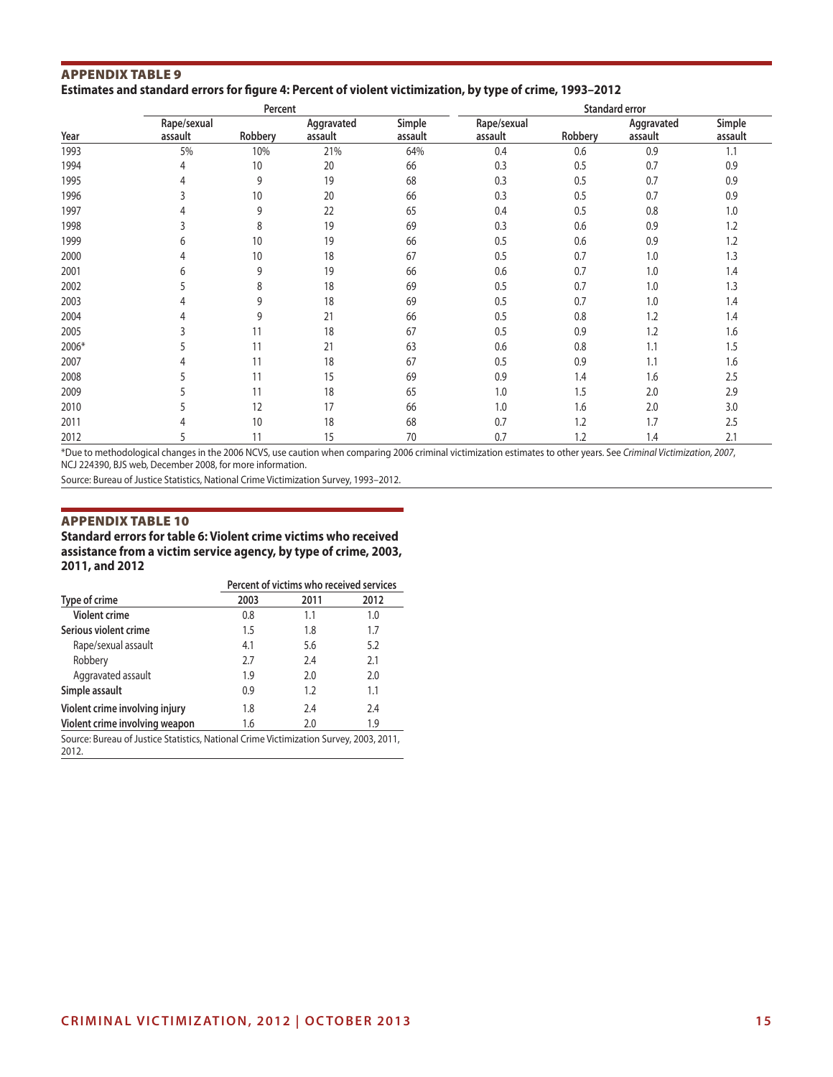#### Appendix Table 9 **Estimates and standard errors for figure 4: Percent of violent victimization, by type of crime, 1993–2012**

|       |                        | Percent |                       |                   | Standard error         |         |                       |                   |  |  |
|-------|------------------------|---------|-----------------------|-------------------|------------------------|---------|-----------------------|-------------------|--|--|
| Year  | Rape/sexual<br>assault | Robbery | Aggravated<br>assault | Simple<br>assault | Rape/sexual<br>assault | Robbery | Aggravated<br>assault | Simple<br>assault |  |  |
| 1993  | 5%                     | 10%     | 21%                   | 64%               | 0.4                    | 0.6     | 0.9                   | 1.1               |  |  |
| 1994  | 4                      | 10      | 20                    | 66                | 0.3                    | 0.5     | 0.7                   | 0.9               |  |  |
| 1995  | 4                      | 9       | 19                    | 68                | 0.3                    | 0.5     | 0.7                   | 0.9               |  |  |
| 1996  |                        | 10      | 20                    | 66                | 0.3                    | 0.5     | 0.7                   | 0.9               |  |  |
| 1997  | 4                      | 9       | 22                    | 65                | 0.4                    | 0.5     | 0.8                   | 1.0               |  |  |
| 1998  |                        | 8       | 19                    | 69                | 0.3                    | 0.6     | 0.9                   | 1.2               |  |  |
| 1999  | 6                      | 10      | 19                    | 66                | 0.5                    | 0.6     | 0.9                   | 1.2               |  |  |
| 2000  | 4                      | 10      | 18                    | 67                | 0.5                    | 0.7     | 1.0                   | 1.3               |  |  |
| 2001  | 6                      | 9       | 19                    | 66                | 0.6                    | 0.7     | 1.0                   | 1.4               |  |  |
| 2002  |                        | 8       | 18                    | 69                | 0.5                    | 0.7     | 1.0                   | 1.3               |  |  |
| 2003  | 4                      | 9       | 18                    | 69                | 0.5                    | 0.7     | 1.0                   | 1.4               |  |  |
| 2004  | 4                      | 9       | 21                    | 66                | 0.5                    | 0.8     | 1.2                   | 1.4               |  |  |
| 2005  |                        | 11      | 18                    | 67                | 0.5                    | 0.9     | 1.2                   | 1.6               |  |  |
| 2006* |                        | 11      | 21                    | 63                | 0.6                    | 0.8     | 1.1                   | 1.5               |  |  |
| 2007  | 4                      | 11      | 18                    | 67                | 0.5                    | 0.9     | 1.1                   | 1.6               |  |  |
| 2008  |                        | 11      | 15                    | 69                | 0.9                    | 1.4     | 1.6                   | 2.5               |  |  |
| 2009  |                        | 11      | 18                    | 65                | 1.0                    | 1.5     | 2.0                   | 2.9               |  |  |
| 2010  |                        | 12      | 17                    | 66                | 1.0                    | 1.6     | 2.0                   | 3.0               |  |  |
| 2011  | 4                      | 10      | 18                    | 68                | 0.7                    | 1.2     | 1.7                   | 2.5               |  |  |
| 2012  | 5                      | 11      | 15                    | 70                | 0.7                    | 1.2     | 1.4                   | 2.1               |  |  |

\*Due to methodological changes in the 2006 NCVS, use caution when comparing 2006 criminal victimization estimates to other years. See *Criminal Victimization, 2007*, NCJ 224390, BJS web, December 2008, for more information.

Source: Bureau of Justice Statistics, National Crime Victimization Survey, 1993–2012.

#### Appendix Table 10

**Standard errors for table 6: Violent crime victims who received assistance from a victim service agency, by type of crime, 2003, 2011, and 2012**

|                                                                                                 | Percent of victims who received services |      |      |  |  |  |  |
|-------------------------------------------------------------------------------------------------|------------------------------------------|------|------|--|--|--|--|
| Type of crime                                                                                   | 2003                                     | 2011 | 2012 |  |  |  |  |
| <b>Violent crime</b>                                                                            | 0.8                                      | 1.1  | 1.0  |  |  |  |  |
| Serious violent crime                                                                           | 1.5                                      | 1.8  | 1.7  |  |  |  |  |
| Rape/sexual assault                                                                             | 4.1                                      | 5.6  | 5.2  |  |  |  |  |
| Robbery                                                                                         | 2.7                                      | 7.4  | 2.1  |  |  |  |  |
| Aggravated assault                                                                              | 1.9                                      | 2.0  | 2.0  |  |  |  |  |
| Simple assault                                                                                  | 0.9                                      | 1.2  | 1.1  |  |  |  |  |
| Violent crime involving injury                                                                  | 1.8                                      | 7.4  | 7.4  |  |  |  |  |
| Violent crime involving weapon                                                                  | 1.6                                      | 2.0  | 1.9  |  |  |  |  |
| Source: Bureau of Justice Statistics, National Crime Victimization Survey, 2003, 2011,<br>2012. |                                          |      |      |  |  |  |  |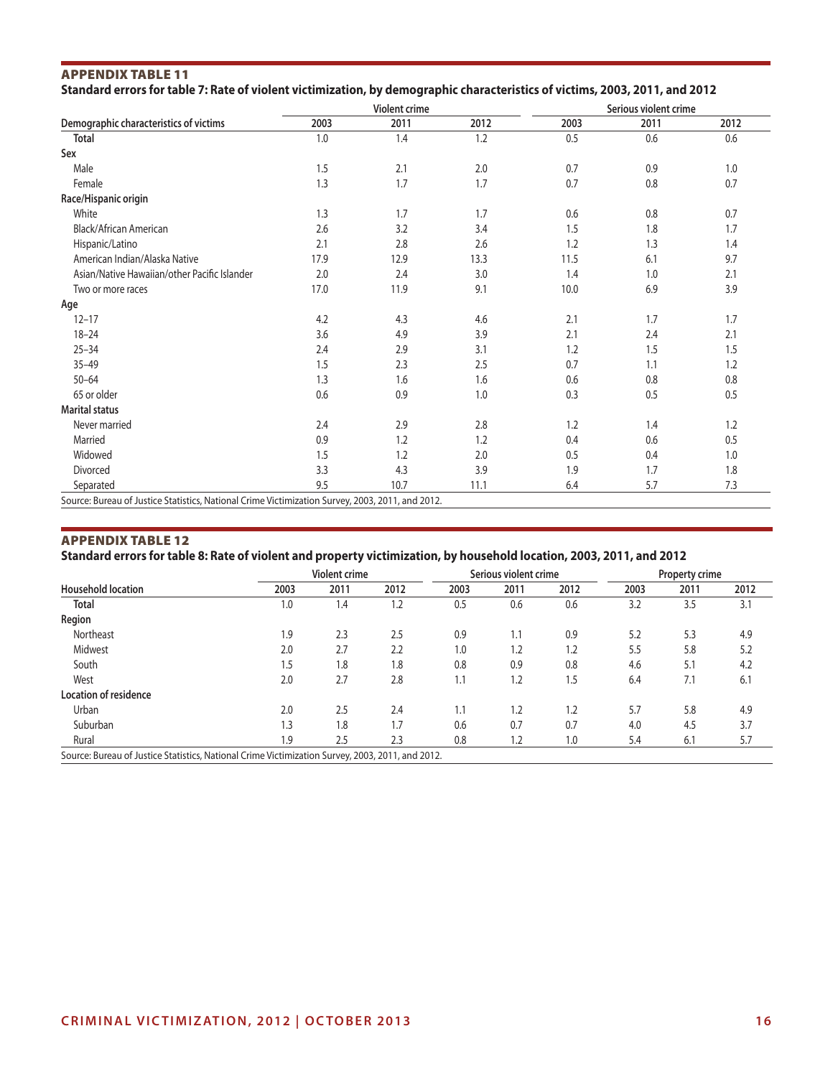### Appendix Table 11 **Standard errors for table 7: Rate of violent victimization, by demographic characteristics of victims, 2003, 2011, and 2012**

|                                              |      | Violent crime |      | Serious violent crime |      |      |  |
|----------------------------------------------|------|---------------|------|-----------------------|------|------|--|
| Demographic characteristics of victims       | 2003 | 2011          | 2012 | 2003                  | 2011 | 2012 |  |
| <b>Total</b>                                 | 1.0  | 1.4           | 1.2  | 0.5                   | 0.6  | 0.6  |  |
| Sex                                          |      |               |      |                       |      |      |  |
| Male                                         | 1.5  | 2.1           | 2.0  | 0.7                   | 0.9  | 1.0  |  |
| Female                                       | 1.3  | 1.7           | 1.7  | 0.7                   | 0.8  | 0.7  |  |
| Race/Hispanic origin                         |      |               |      |                       |      |      |  |
| White                                        | 1.3  | 1.7           | 1.7  | 0.6                   | 0.8  | 0.7  |  |
| Black/African American                       | 2.6  | 3.2           | 3.4  | 1.5                   | 1.8  | 1.7  |  |
| Hispanic/Latino                              | 2.1  | 2.8           | 2.6  | 1.2                   | 1.3  | 1.4  |  |
| American Indian/Alaska Native                | 17.9 | 12.9          | 13.3 | 11.5                  | 6.1  | 9.7  |  |
| Asian/Native Hawaiian/other Pacific Islander | 2.0  | 2.4           | 3.0  | 1.4                   | 1.0  | 2.1  |  |
| Two or more races                            | 17.0 | 11.9          | 9.1  | 10.0                  | 6.9  | 3.9  |  |
| Age                                          |      |               |      |                       |      |      |  |
| $12 - 17$                                    | 4.2  | 4.3           | 4.6  | 2.1                   | 1.7  | 1.7  |  |
| $18 - 24$                                    | 3.6  | 4.9           | 3.9  | 2.1                   | 2.4  | 2.1  |  |
| $25 - 34$                                    | 2.4  | 2.9           | 3.1  | 1.2                   | 1.5  | 1.5  |  |
| $35 - 49$                                    | 1.5  | 2.3           | 2.5  | 0.7                   | 1.1  | 1.2  |  |
| $50 - 64$                                    | 1.3  | 1.6           | 1.6  | 0.6                   | 0.8  | 0.8  |  |
| 65 or older                                  | 0.6  | 0.9           | 1.0  | 0.3                   | 0.5  | 0.5  |  |
| <b>Marital status</b>                        |      |               |      |                       |      |      |  |
| Never married                                | 2.4  | 2.9           | 2.8  | 1.2                   | 1.4  | 1.2  |  |
| Married                                      | 0.9  | 1.2           | 1.2  | 0.4                   | 0.6  | 0.5  |  |
| Widowed                                      | 1.5  | 1.2           | 2.0  | 0.5                   | 0.4  | 1.0  |  |
| Divorced                                     | 3.3  | 4.3           | 3.9  | 1.9                   | 1.7  | 1.8  |  |
| Separated                                    | 9.5  | 10.7          | 11.1 | 6.4                   | 5.7  | 7.3  |  |

#### Appendix Table 12

**Standard errors for table 8: Rate of violent and property victimization, by household location, 2003, 2011, and 2012**

|                                                                                                  |      | <b>Violent crime</b> |      |      | Serious violent crime |      |      | <b>Property crime</b> |      |
|--------------------------------------------------------------------------------------------------|------|----------------------|------|------|-----------------------|------|------|-----------------------|------|
| <b>Household location</b>                                                                        | 2003 | 2011                 | 2012 | 2003 | 2011                  | 2012 | 2003 | 2011                  | 2012 |
| <b>Total</b>                                                                                     | 1.0  | 1.4                  | 1.2  | 0.5  | 0.6                   | 0.6  | 3.2  | 3.5                   | 3.1  |
| Region                                                                                           |      |                      |      |      |                       |      |      |                       |      |
| Northeast                                                                                        | 9.۱  | 2.3                  | 2.5  | 0.9  | 1.1                   | 0.9  | 5.2  | 5.3                   | 4.9  |
| Midwest                                                                                          | 2.0  | 2.7                  | 2.2  | 1.0  | 1.2                   | 1.2  | 5.5  | 5.8                   | 5.2  |
| South                                                                                            | 1.5  | 1.8                  | 1.8  | 0.8  | 0.9                   | 0.8  | 4.6  | 5.1                   | 4.2  |
| West                                                                                             | 2.0  | 2.7                  | 2.8  | 1.1  | 1.2                   | 1.5  | 6.4  | 7.1                   | 6.1  |
| <b>Location of residence</b>                                                                     |      |                      |      |      |                       |      |      |                       |      |
| Urban                                                                                            | 2.0  | 2.5                  | 2.4  | 1.1  | 1.2                   | 1.2  | 5.7  | 5.8                   | 4.9  |
| Suburban                                                                                         | 1.3  | 1.8                  | 1.7  | 0.6  | 0.7                   | 0.7  | 4.0  | 4.5                   | 3.7  |
| Rural                                                                                            | 1.9  | 2.5                  | 2.3  | 0.8  | 1.2                   | 1.0  | 5.4  | 6.1                   | 5.7  |
| Source: Bureau of Justice Statistics, National Crime Victimization Survey, 2003, 2011, and 2012. |      |                      |      |      |                       |      |      |                       |      |